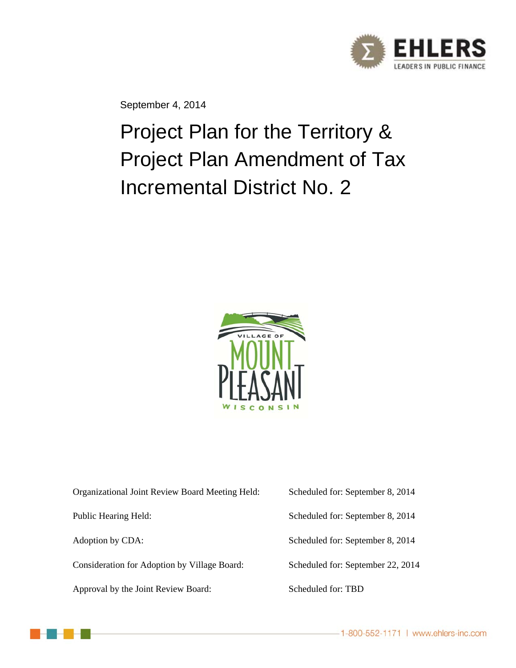

September 4, 2014

Project Plan for the Territory & Project Plan Amendment of Tax Incremental District No. 2



| Organizational Joint Review Board Meeting Held: | Scheduled for: September 8, 2014  |
|-------------------------------------------------|-----------------------------------|
| Public Hearing Held:                            | Scheduled for: September 8, 2014  |
| Adoption by CDA:                                | Scheduled for: September 8, 2014  |
| Consideration for Adoption by Village Board:    | Scheduled for: September 22, 2014 |
| Approval by the Joint Review Board:             | Scheduled for: TBD                |

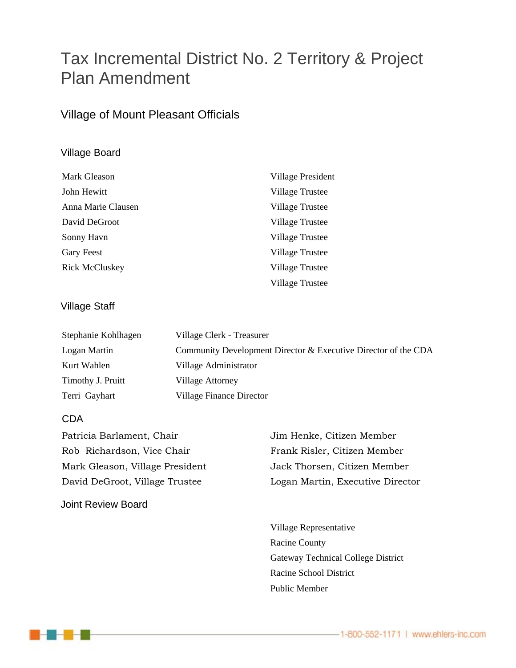## Tax Incremental District No. 2 Territory & Project Plan Amendment

#### Village of Mount Pleasant Officials

#### Village Board

| Mark Gleason          | Village President      |
|-----------------------|------------------------|
| John Hewitt           | Village Trustee        |
| Anna Marie Clausen    | Village Trustee        |
| David DeGroot         | Village Trustee        |
| Sonny Havn            | Village Trustee        |
| <b>Gary Feest</b>     | Village Trustee        |
| <b>Rick McCluskey</b> | Village Trustee        |
|                       | <b>Village Trustee</b> |

#### Village Staff

| Stephanie Kohlhagen | Village Clerk - Treasurer                                      |
|---------------------|----------------------------------------------------------------|
| Logan Martin        | Community Development Director & Executive Director of the CDA |
| Kurt Wahlen         | Village Administrator                                          |
| Timothy J. Pruitt   | Village Attorney                                               |
| Terri Gayhart       | Village Finance Director                                       |

#### CDA

| Patricia Barlament, Chair       | Jim Henke, Citizen Member        |
|---------------------------------|----------------------------------|
| Rob Richardson, Vice Chair      | Frank Risler, Citizen Member     |
| Mark Gleason, Village President | Jack Thorsen, Citizen Member     |
| David DeGroot, Village Trustee  | Logan Martin, Executive Director |
|                                 |                                  |

Joint Review Board

 Village Representative Racine County Gateway Technical College District Racine School District Public Member

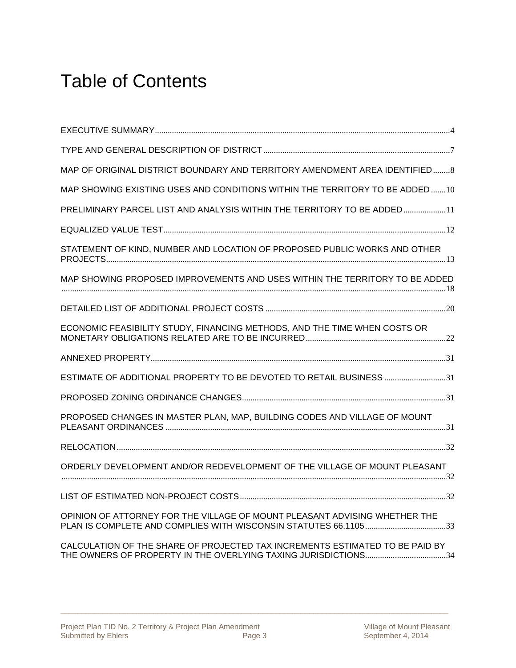# Table of Contents

| MAP OF ORIGINAL DISTRICT BOUNDARY AND TERRITORY AMENDMENT AREA IDENTIFIED8   |
|------------------------------------------------------------------------------|
| MAP SHOWING EXISTING USES AND CONDITIONS WITHIN THE TERRITORY TO BE ADDED10  |
| PRELIMINARY PARCEL LIST AND ANALYSIS WITHIN THE TERRITORY TO BE ADDED11      |
|                                                                              |
| STATEMENT OF KIND, NUMBER AND LOCATION OF PROPOSED PUBLIC WORKS AND OTHER    |
| MAP SHOWING PROPOSED IMPROVEMENTS AND USES WITHIN THE TERRITORY TO BE ADDED  |
|                                                                              |
| ECONOMIC FEASIBILITY STUDY, FINANCING METHODS, AND THE TIME WHEN COSTS OR    |
|                                                                              |
| ESTIMATE OF ADDITIONAL PROPERTY TO BE DEVOTED TO RETAIL BUSINESS 31          |
|                                                                              |
| PROPOSED CHANGES IN MASTER PLAN, MAP, BUILDING CODES AND VILLAGE OF MOUNT    |
|                                                                              |
| ORDERLY DEVELOPMENT AND/OR REDEVELOPMENT OF THE VILLAGE OF MOUNT PLEASANT    |
|                                                                              |
| OPINION OF ATTORNEY FOR THE VILLAGE OF MOUNT PLEASANT ADVISING WHETHER THE   |
| CALCULATION OF THE SHARE OF PROJECTED TAX INCREMENTS ESTIMATED TO BE PAID BY |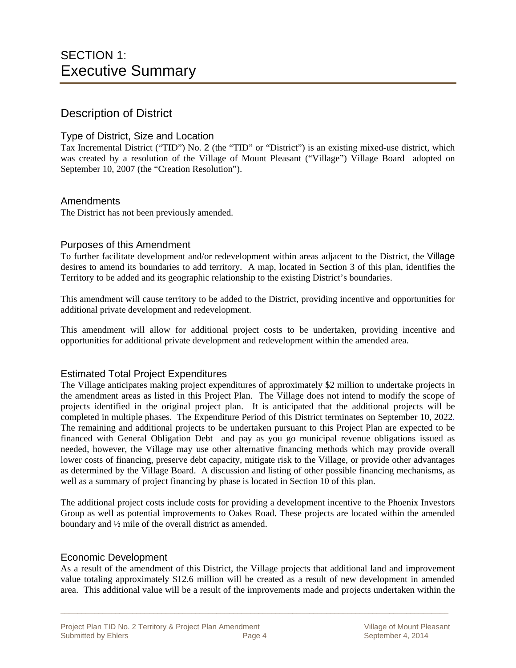#### Description of District

#### Type of District, Size and Location

Tax Incremental District ("TID") No. 2 (the "TID" or "District") is an existing mixed-use district, which was created by a resolution of the Village of Mount Pleasant ("Village") Village Board adopted on September 10, 2007 (the "Creation Resolution").

#### Amendments

The District has not been previously amended.

#### Purposes of this Amendment

To further facilitate development and/or redevelopment within areas adjacent to the District, the Village desires to amend its boundaries to add territory. A map, located in Section 3 of this plan, identifies the Territory to be added and its geographic relationship to the existing District's boundaries.

This amendment will cause territory to be added to the District, providing incentive and opportunities for additional private development and redevelopment.

This amendment will allow for additional project costs to be undertaken, providing incentive and opportunities for additional private development and redevelopment within the amended area.

#### Estimated Total Project Expenditures

The Village anticipates making project expenditures of approximately \$2 million to undertake projects in the amendment areas as listed in this Project Plan. The Village does not intend to modify the scope of projects identified in the original project plan. It is anticipated that the additional projects will be completed in multiple phases. The Expenditure Period of this District terminates on September 10, 2022*.* The remaining and additional projects to be undertaken pursuant to this Project Plan are expected to be financed with General Obligation Debt and pay as you go municipal revenue obligations issued as needed, however, the Village may use other alternative financing methods which may provide overall lower costs of financing, preserve debt capacity, mitigate risk to the Village, or provide other advantages as determined by the Village Board. A discussion and listing of other possible financing mechanisms, as well as a summary of project financing by phase is located in Section 10 of this plan.

The additional project costs include costs for providing a development incentive to the Phoenix Investors Group as well as potential improvements to Oakes Road. These projects are located within the amended boundary and ½ mile of the overall district as amended.

#### Economic Development

As a result of the amendment of this District, the Village projects that additional land and improvement value totaling approximately \$12.6 million will be created as a result of new development in amended area. This additional value will be a result of the improvements made and projects undertaken within the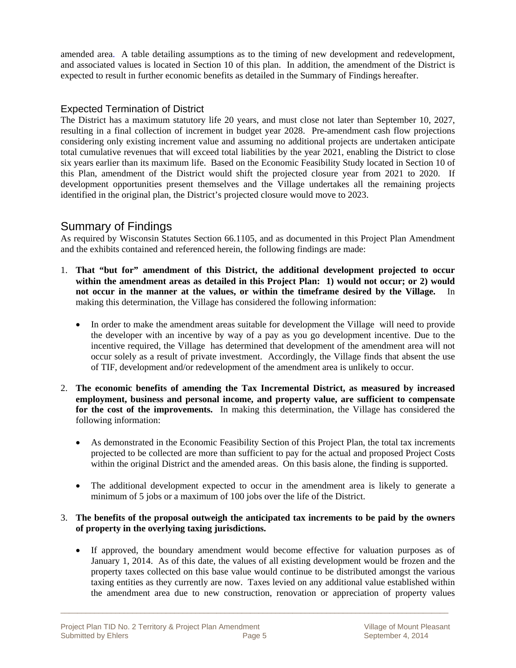amended area. A table detailing assumptions as to the timing of new development and redevelopment, and associated values is located in Section 10 of this plan. In addition, the amendment of the District is expected to result in further economic benefits as detailed in the Summary of Findings hereafter.

#### Expected Termination of District

The District has a maximum statutory life 20 years, and must close not later than September 10, 2027, resulting in a final collection of increment in budget year 2028. Pre-amendment cash flow projections considering only existing increment value and assuming no additional projects are undertaken anticipate total cumulative revenues that will exceed total liabilities by the year 2021, enabling the District to close six years earlier than its maximum life. Based on the Economic Feasibility Study located in Section 10 of this Plan, amendment of the District would shift the projected closure year from 2021 to 2020. If development opportunities present themselves and the Village undertakes all the remaining projects identified in the original plan, the District's projected closure would move to 2023.

#### Summary of Findings

As required by Wisconsin Statutes Section 66.1105, and as documented in this Project Plan Amendment and the exhibits contained and referenced herein, the following findings are made:

- 1. **That "but for" amendment of this District, the additional development projected to occur within the amendment areas as detailed in this Project Plan: 1) would not occur; or 2) would not occur in the manner at the values, or within the timeframe desired by the Village.** In making this determination, the Village has considered the following information:
	- In order to make the amendment areas suitable for development the Village will need to provide the developer with an incentive by way of a pay as you go development incentive. Due to the incentive required, the Village has determined that development of the amendment area will not occur solely as a result of private investment. Accordingly, the Village finds that absent the use of TIF, development and/or redevelopment of the amendment area is unlikely to occur.
- 2. **The economic benefits of amending the Tax Incremental District, as measured by increased employment, business and personal income, and property value, are sufficient to compensate for the cost of the improvements.** In making this determination, the Village has considered the following information:
	- As demonstrated in the Economic Feasibility Section of this Project Plan, the total tax increments projected to be collected are more than sufficient to pay for the actual and proposed Project Costs within the original District and the amended areas. On this basis alone, the finding is supported.
	- The additional development expected to occur in the amendment area is likely to generate a minimum of 5 jobs or a maximum of 100 jobs over the life of the District.

#### 3. **The benefits of the proposal outweigh the anticipated tax increments to be paid by the owners of property in the overlying taxing jurisdictions.**

 If approved, the boundary amendment would become effective for valuation purposes as of January 1, 2014. As of this date, the values of all existing development would be frozen and the property taxes collected on this base value would continue to be distributed amongst the various taxing entities as they currently are now. Taxes levied on any additional value established within the amendment area due to new construction, renovation or appreciation of property values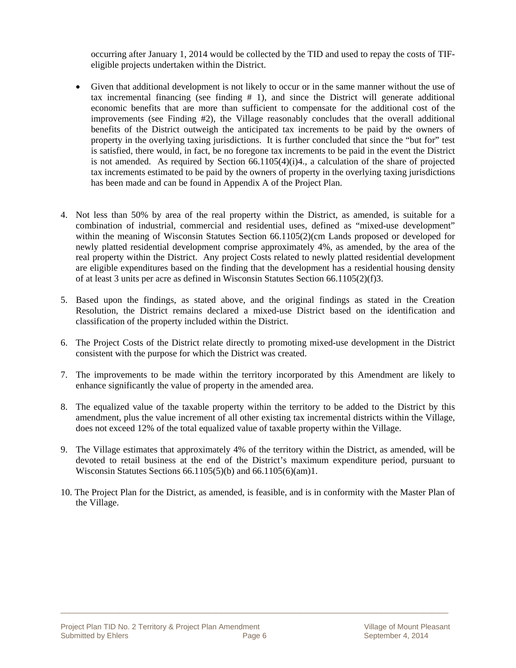occurring after January 1, 2014 would be collected by the TID and used to repay the costs of TIFeligible projects undertaken within the District.

- Given that additional development is not likely to occur or in the same manner without the use of tax incremental financing (see finding  $# 1$ ), and since the District will generate additional economic benefits that are more than sufficient to compensate for the additional cost of the improvements (see Finding #2), the Village reasonably concludes that the overall additional benefits of the District outweigh the anticipated tax increments to be paid by the owners of property in the overlying taxing jurisdictions. It is further concluded that since the "but for" test is satisfied, there would, in fact, be no foregone tax increments to be paid in the event the District is not amended. As required by Section  $66.1105(4)(i)4$ , a calculation of the share of projected tax increments estimated to be paid by the owners of property in the overlying taxing jurisdictions has been made and can be found in Appendix A of the Project Plan.
- 4. Not less than 50% by area of the real property within the District, as amended, is suitable for a combination of industrial, commercial and residential uses, defined as "mixed-use development" within the meaning of Wisconsin Statutes Section 66.1105(2)(cm Lands proposed or developed for newly platted residential development comprise approximately 4%, as amended, by the area of the real property within the District. Any project Costs related to newly platted residential development are eligible expenditures based on the finding that the development has a residential housing density of at least 3 units per acre as defined in Wisconsin Statutes Section 66.1105(2)(f)3.
- 5. Based upon the findings, as stated above, and the original findings as stated in the Creation Resolution, the District remains declared a mixed-use District based on the identification and classification of the property included within the District.
- 6. The Project Costs of the District relate directly to promoting mixed-use development in the District consistent with the purpose for which the District was created.
- 7. The improvements to be made within the territory incorporated by this Amendment are likely to enhance significantly the value of property in the amended area.
- 8. The equalized value of the taxable property within the territory to be added to the District by this amendment, plus the value increment of all other existing tax incremental districts within the Village, does not exceed 12% of the total equalized value of taxable property within the Village.
- 9. The Village estimates that approximately 4% of the territory within the District, as amended, will be devoted to retail business at the end of the District's maximum expenditure period, pursuant to Wisconsin Statutes Sections 66.1105(5)(b) and 66.1105(6)(am)1.
- 10. The Project Plan for the District, as amended, is feasible, and is in conformity with the Master Plan of the Village.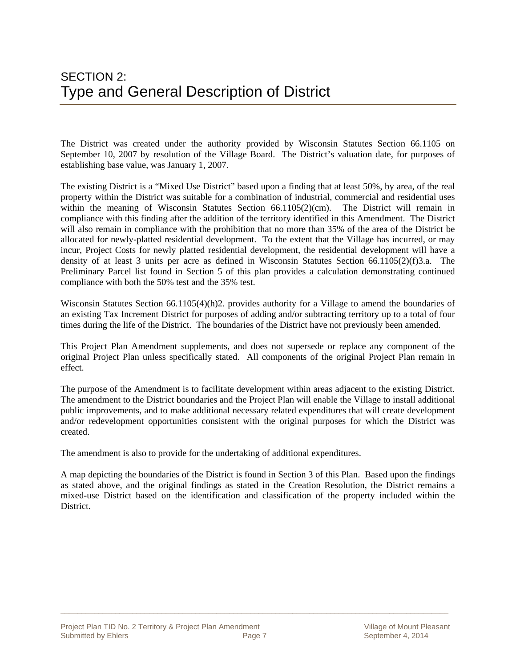The District was created under the authority provided by Wisconsin Statutes Section 66.1105 on September 10, 2007 by resolution of the Village Board. The District's valuation date, for purposes of establishing base value, was January 1, 2007.

The existing District is a "Mixed Use District" based upon a finding that at least 50%, by area, of the real property within the District was suitable for a combination of industrial, commercial and residential uses within the meaning of Wisconsin Statutes Section  $66.1105(2)(cm)$ . The District will remain in compliance with this finding after the addition of the territory identified in this Amendment. The District will also remain in compliance with the prohibition that no more than 35% of the area of the District be allocated for newly-platted residential development. To the extent that the Village has incurred, or may incur, Project Costs for newly platted residential development, the residential development will have a density of at least 3 units per acre as defined in Wisconsin Statutes Section 66.1105(2)(f)3.a. The Preliminary Parcel list found in Section 5 of this plan provides a calculation demonstrating continued compliance with both the 50% test and the 35% test.

Wisconsin Statutes Section 66.1105(4)(h)2. provides authority for a Village to amend the boundaries of an existing Tax Increment District for purposes of adding and/or subtracting territory up to a total of four times during the life of the District. The boundaries of the District have not previously been amended.

This Project Plan Amendment supplements, and does not supersede or replace any component of the original Project Plan unless specifically stated. All components of the original Project Plan remain in effect.

The purpose of the Amendment is to facilitate development within areas adjacent to the existing District. The amendment to the District boundaries and the Project Plan will enable the Village to install additional public improvements, and to make additional necessary related expenditures that will create development and/or redevelopment opportunities consistent with the original purposes for which the District was created.

The amendment is also to provide for the undertaking of additional expenditures.

A map depicting the boundaries of the District is found in Section 3 of this Plan. Based upon the findings as stated above, and the original findings as stated in the Creation Resolution, the District remains a mixed-use District based on the identification and classification of the property included within the **District**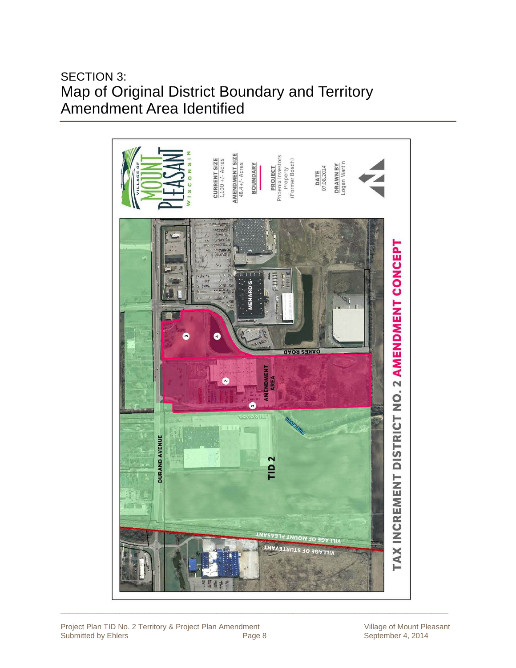SECTION 3: Map of Original District Boundary and Territory Amendment Area Identified

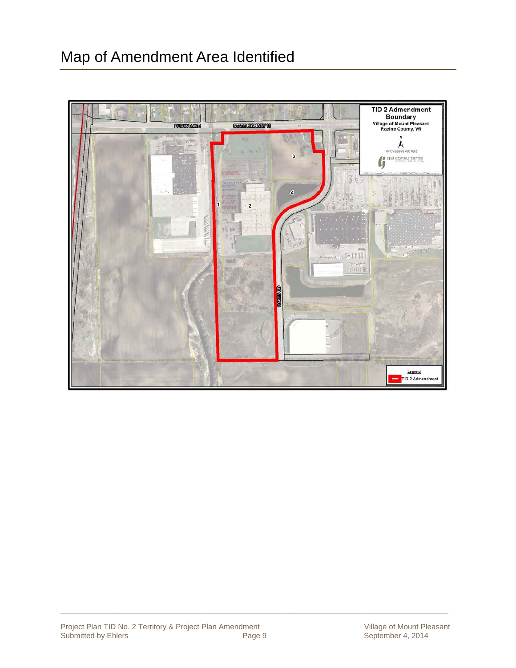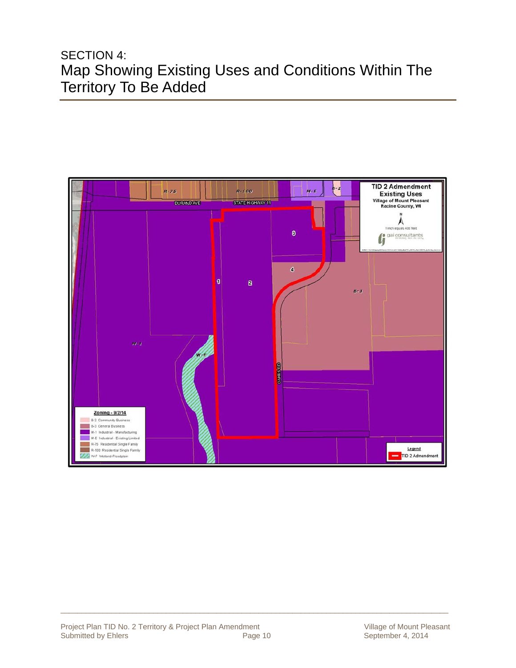### SECTION 4: Map Showing Existing Uses and Conditions Within The Territory To Be Added

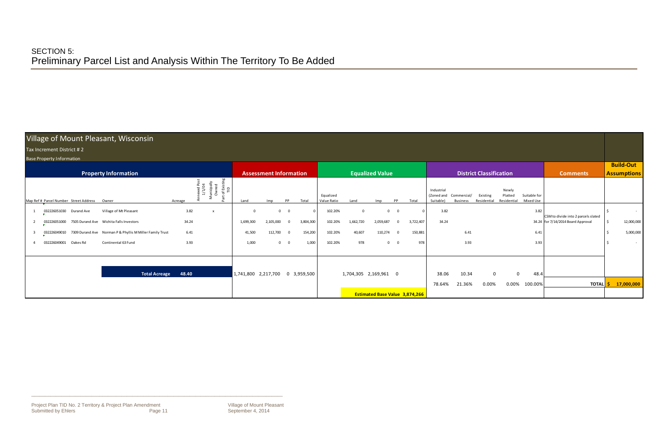#### Village of Mount Pleasant, Wisconsin

#### Taxx Increment District #

| Village of Mount Pleasant, Wisconsin                                                                                         |                                                 |                                                            |                                                                                                                                                                    |                                                           |  |  |  |  |  |  |  |  |  |  |  |
|------------------------------------------------------------------------------------------------------------------------------|-------------------------------------------------|------------------------------------------------------------|--------------------------------------------------------------------------------------------------------------------------------------------------------------------|-----------------------------------------------------------|--|--|--|--|--|--|--|--|--|--|--|
| Tax Increment District #2                                                                                                    |                                                 |                                                            |                                                                                                                                                                    |                                                           |  |  |  |  |  |  |  |  |  |  |  |
| <b>Base Property Information</b>                                                                                             |                                                 |                                                            |                                                                                                                                                                    |                                                           |  |  |  |  |  |  |  |  |  |  |  |
| <b>Property Information</b>                                                                                                  | <b>Assessment Information</b>                   | <b>Equalized Value</b>                                     | <b>District Classification</b>                                                                                                                                     | <b>Build-Out</b><br><b>Comments</b><br><b>Assumptions</b> |  |  |  |  |  |  |  |  |  |  |  |
| of Existin<br>TID<br>unicipally<br>Owned<br>nexed Pc<br>1/1/04<br>Map Ref # Parcel Number Street Address<br>Owner<br>Acreage | PP<br>Total<br>Land<br>Imp                      | Equalized<br>Value Ratio<br>PP<br>Total<br>Land<br>Imp     | Newly<br>Industrial<br>Suitable for<br>Platted<br>(Zoned and<br>Commercial/<br>Existing<br>Residential<br>Residential<br>Mixed Use<br>Suitable)<br><b>Business</b> |                                                           |  |  |  |  |  |  |  |  |  |  |  |
| Village of Mt Pleasant<br>3.82<br>032226051030 Durand Ave                                                                    | $0\qquad 0$                                     | 102.20%<br>$\mathbf 0$<br>$\Omega$                         | 3.82<br>3.82                                                                                                                                                       | $\sim$ $-$<br>CSM to divide into 2 parcels slated         |  |  |  |  |  |  |  |  |  |  |  |
| 34.24<br>7505 Durand Ave Wichita Falls Investors<br>032226051000                                                             | 3,804,300<br>1,699,300<br>2,105,000<br>$\Omega$ | 102.20%<br>1,662,720<br>3,722,407<br>2,059,687<br>$\Omega$ | 34.24                                                                                                                                                              | 12,000,000<br>34.24 for 7/14/2014 Board Approval          |  |  |  |  |  |  |  |  |  |  |  |
| 032226049010 7309 Durand Ave Norman P & Phyllis M Miller Family Trust<br>6.41                                                | 154,200<br>41,500<br>112,700<br>$\Omega$        | 40,607<br>102.20%<br>110,274<br>150,881<br>$\Omega$        | 6.41<br>6.41                                                                                                                                                       | 5,000,000                                                 |  |  |  |  |  |  |  |  |  |  |  |
| 3.93<br>032226049001<br>Continental 63 Fund<br>Oakes Rd                                                                      | 1,000<br>1,000<br>$0\qquad 0$                   | 102.20%<br>978<br>978<br>$0\qquad 0$                       | 3.93<br>3.93                                                                                                                                                       | $\sim$ $-$                                                |  |  |  |  |  |  |  |  |  |  |  |
| 48.40<br><b>Total Acreage</b>                                                                                                | 1,741,800 2,217,700 0 3,959,500                 | 1,704,305 2,169,961 0                                      | 10.34<br>38.06<br>$\overline{0}$<br>48.4                                                                                                                           |                                                           |  |  |  |  |  |  |  |  |  |  |  |
|                                                                                                                              |                                                 |                                                            | 21.36%<br>0.00%<br>0.00%<br>100.00%<br>78.64%                                                                                                                      | TOTAL <b>\$</b><br>17,000,000                             |  |  |  |  |  |  |  |  |  |  |  |
|                                                                                                                              |                                                 | <b>Estimated Base Value 3,874,266</b>                      |                                                                                                                                                                    |                                                           |  |  |  |  |  |  |  |  |  |  |  |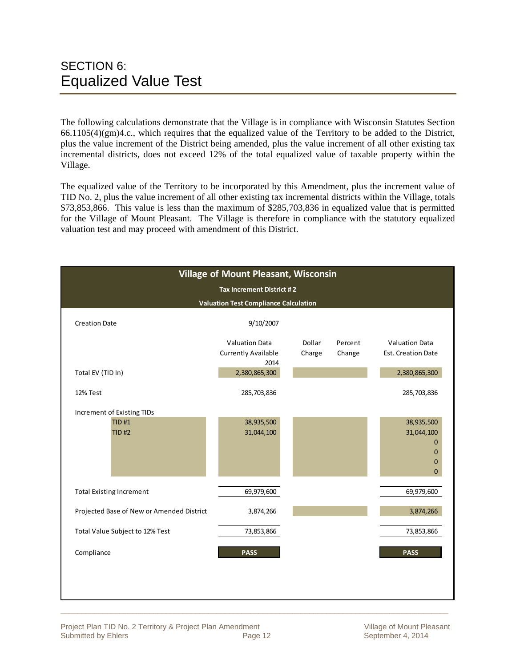The following calculations demonstrate that the Village is in compliance with Wisconsin Statutes Section  $66.1105(4)(gm)4.c.,$  which requires that the equalized value of the Territory to be added to the District, plus the value increment of the District being amended, plus the value increment of all other existing tax incremental districts, does not exceed 12% of the total equalized value of taxable property within the Village.

The equalized value of the Territory to be incorporated by this Amendment, plus the increment value of TID No. 2, plus the value increment of all other existing tax incremental districts within the Village, totals \$73,853,866. This value is less than the maximum of \$285,703,836 in equalized value that is permitted for the Village of Mount Pleasant. The Village is therefore in compliance with the statutory equalized valuation test and may proceed with amendment of this District.

|                                                            | <b>Village of Mount Pleasant, Wisconsin</b>                 |                  |                   |                                                                                          |
|------------------------------------------------------------|-------------------------------------------------------------|------------------|-------------------|------------------------------------------------------------------------------------------|
|                                                            | Tax Increment District #2                                   |                  |                   |                                                                                          |
|                                                            | <b>Valuation Test Compliance Calculation</b>                |                  |                   |                                                                                          |
| <b>Creation Date</b>                                       | 9/10/2007                                                   |                  |                   |                                                                                          |
|                                                            | <b>Valuation Data</b><br><b>Currently Available</b><br>2014 | Dollar<br>Charge | Percent<br>Change | <b>Valuation Data</b><br>Est. Creation Date                                              |
| Total EV (TID In)                                          | 2,380,865,300                                               |                  |                   | 2,380,865,300                                                                            |
| 12% Test                                                   | 285,703,836                                                 |                  |                   | 285,703,836                                                                              |
| Increment of Existing TIDs<br><b>TID#1</b><br><b>TID#2</b> | 38,935,500<br>31,044,100                                    |                  |                   | 38,935,500<br>31,044,100<br>$\mathbf 0$<br>$\overline{0}$<br>$\mathbf 0$<br>$\mathbf{0}$ |
| <b>Total Existing Increment</b>                            | 69,979,600                                                  |                  |                   | 69,979,600                                                                               |
| Projected Base of New or Amended District                  | 3,874,266                                                   |                  |                   | 3,874,266                                                                                |
| Total Value Subject to 12% Test                            | 73,853,866                                                  |                  |                   | 73,853,866                                                                               |
| Compliance                                                 | <b>PASS</b>                                                 |                  |                   | <b>PASS</b>                                                                              |
|                                                            |                                                             |                  |                   |                                                                                          |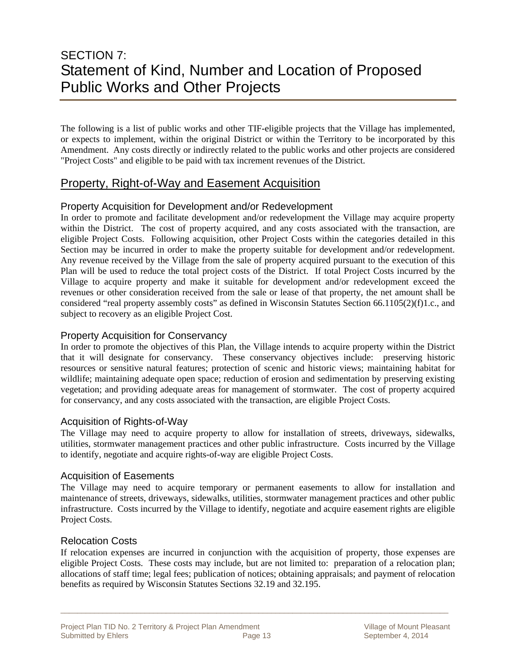### SECTION 7: Statement of Kind, Number and Location of Proposed Public Works and Other Projects

The following is a list of public works and other TIF-eligible projects that the Village has implemented, or expects to implement, within the original District or within the Territory to be incorporated by this Amendment. Any costs directly or indirectly related to the public works and other projects are considered "Project Costs" and eligible to be paid with tax increment revenues of the District.

#### Property, Right-of-Way and Easement Acquisition

#### Property Acquisition for Development and/or Redevelopment

In order to promote and facilitate development and/or redevelopment the Village may acquire property within the District. The cost of property acquired, and any costs associated with the transaction, are eligible Project Costs. Following acquisition, other Project Costs within the categories detailed in this Section may be incurred in order to make the property suitable for development and/or redevelopment. Any revenue received by the Village from the sale of property acquired pursuant to the execution of this Plan will be used to reduce the total project costs of the District. If total Project Costs incurred by the Village to acquire property and make it suitable for development and/or redevelopment exceed the revenues or other consideration received from the sale or lease of that property, the net amount shall be considered "real property assembly costs" as defined in Wisconsin Statutes Section 66.1105(2)(f)1.c., and subject to recovery as an eligible Project Cost.

#### Property Acquisition for Conservancy

In order to promote the objectives of this Plan, the Village intends to acquire property within the District that it will designate for conservancy. These conservancy objectives include: preserving historic resources or sensitive natural features; protection of scenic and historic views; maintaining habitat for wildlife; maintaining adequate open space; reduction of erosion and sedimentation by preserving existing vegetation; and providing adequate areas for management of stormwater. The cost of property acquired for conservancy, and any costs associated with the transaction, are eligible Project Costs.

#### Acquisition of Rights-of-Way

The Village may need to acquire property to allow for installation of streets, driveways, sidewalks, utilities, stormwater management practices and other public infrastructure. Costs incurred by the Village to identify, negotiate and acquire rights-of-way are eligible Project Costs.

#### Acquisition of Easements

The Village may need to acquire temporary or permanent easements to allow for installation and maintenance of streets, driveways, sidewalks, utilities, stormwater management practices and other public infrastructure. Costs incurred by the Village to identify, negotiate and acquire easement rights are eligible Project Costs.

#### Relocation Costs

If relocation expenses are incurred in conjunction with the acquisition of property, those expenses are eligible Project Costs. These costs may include, but are not limited to: preparation of a relocation plan; allocations of staff time; legal fees; publication of notices; obtaining appraisals; and payment of relocation benefits as required by Wisconsin Statutes Sections 32.19 and 32.195.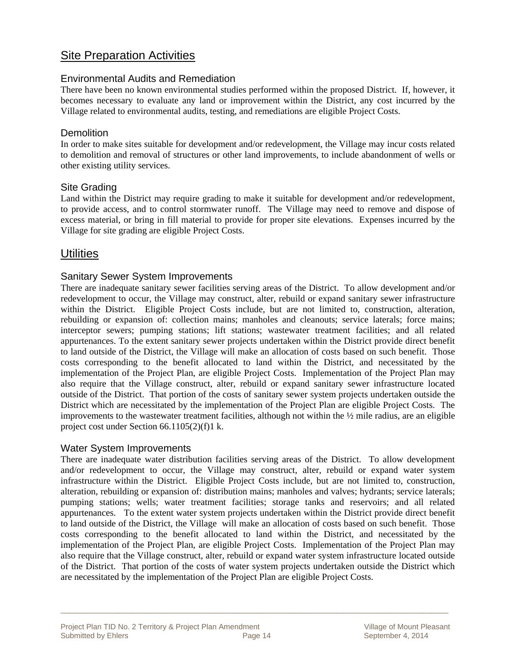#### Site Preparation Activities

#### Environmental Audits and Remediation

There have been no known environmental studies performed within the proposed District. If, however, it becomes necessary to evaluate any land or improvement within the District, any cost incurred by the Village related to environmental audits, testing, and remediations are eligible Project Costs.

#### **Demolition**

In order to make sites suitable for development and/or redevelopment, the Village may incur costs related to demolition and removal of structures or other land improvements, to include abandonment of wells or other existing utility services.

#### Site Grading

Land within the District may require grading to make it suitable for development and/or redevelopment, to provide access, and to control stormwater runoff. The Village may need to remove and dispose of excess material, or bring in fill material to provide for proper site elevations. Expenses incurred by the Village for site grading are eligible Project Costs.

#### **Utilities**

#### Sanitary Sewer System Improvements

There are inadequate sanitary sewer facilities serving areas of the District. To allow development and/or redevelopment to occur, the Village may construct, alter, rebuild or expand sanitary sewer infrastructure within the District. Eligible Project Costs include, but are not limited to, construction, alteration, rebuilding or expansion of: collection mains; manholes and cleanouts; service laterals; force mains; interceptor sewers; pumping stations; lift stations; wastewater treatment facilities; and all related appurtenances. To the extent sanitary sewer projects undertaken within the District provide direct benefit to land outside of the District, the Village will make an allocation of costs based on such benefit. Those costs corresponding to the benefit allocated to land within the District, and necessitated by the implementation of the Project Plan, are eligible Project Costs. Implementation of the Project Plan may also require that the Village construct, alter, rebuild or expand sanitary sewer infrastructure located outside of the District. That portion of the costs of sanitary sewer system projects undertaken outside the District which are necessitated by the implementation of the Project Plan are eligible Project Costs. The improvements to the wastewater treatment facilities, although not within the  $\frac{1}{2}$  mile radius, are an eligible project cost under Section 66.1105(2)(f)1 k.

#### Water System Improvements

There are inadequate water distribution facilities serving areas of the District. To allow development and/or redevelopment to occur, the Village may construct, alter, rebuild or expand water system infrastructure within the District. Eligible Project Costs include, but are not limited to, construction, alteration, rebuilding or expansion of: distribution mains; manholes and valves; hydrants; service laterals; pumping stations; wells; water treatment facilities; storage tanks and reservoirs; and all related appurtenances. To the extent water system projects undertaken within the District provide direct benefit to land outside of the District, the Village will make an allocation of costs based on such benefit. Those costs corresponding to the benefit allocated to land within the District, and necessitated by the implementation of the Project Plan, are eligible Project Costs. Implementation of the Project Plan may also require that the Village construct, alter, rebuild or expand water system infrastructure located outside of the District. That portion of the costs of water system projects undertaken outside the District which are necessitated by the implementation of the Project Plan are eligible Project Costs.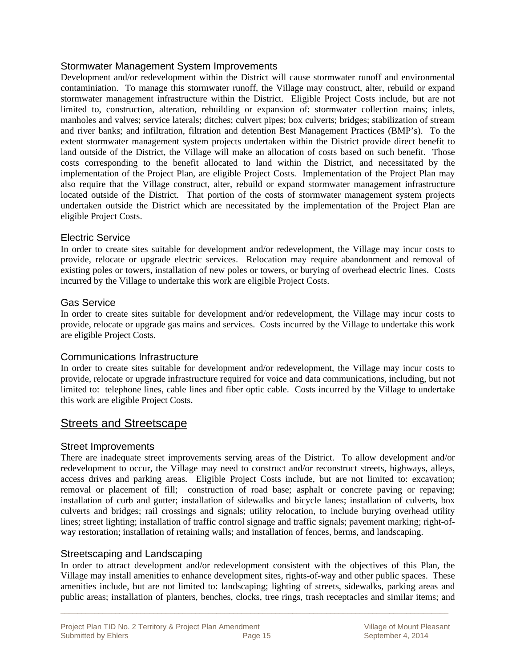#### Stormwater Management System Improvements

Development and/or redevelopment within the District will cause stormwater runoff and environmental contaminiation. To manage this stormwater runoff, the Village may construct, alter, rebuild or expand stormwater management infrastructure within the District. Eligible Project Costs include, but are not limited to, construction, alteration, rebuilding or expansion of: stormwater collection mains; inlets, manholes and valves; service laterals; ditches; culvert pipes; box culverts; bridges; stabilization of stream and river banks; and infiltration, filtration and detention Best Management Practices (BMP's). To the extent stormwater management system projects undertaken within the District provide direct benefit to land outside of the District, the Village will make an allocation of costs based on such benefit. Those costs corresponding to the benefit allocated to land within the District, and necessitated by the implementation of the Project Plan, are eligible Project Costs. Implementation of the Project Plan may also require that the Village construct, alter, rebuild or expand stormwater management infrastructure located outside of the District. That portion of the costs of stormwater management system projects undertaken outside the District which are necessitated by the implementation of the Project Plan are eligible Project Costs.

#### Electric Service

In order to create sites suitable for development and/or redevelopment, the Village may incur costs to provide, relocate or upgrade electric services. Relocation may require abandonment and removal of existing poles or towers, installation of new poles or towers, or burying of overhead electric lines. Costs incurred by the Village to undertake this work are eligible Project Costs.

#### Gas Service

In order to create sites suitable for development and/or redevelopment, the Village may incur costs to provide, relocate or upgrade gas mains and services. Costs incurred by the Village to undertake this work are eligible Project Costs.

#### Communications Infrastructure

In order to create sites suitable for development and/or redevelopment, the Village may incur costs to provide, relocate or upgrade infrastructure required for voice and data communications, including, but not limited to: telephone lines, cable lines and fiber optic cable. Costs incurred by the Village to undertake this work are eligible Project Costs.

#### Streets and Streetscape

#### Street Improvements

There are inadequate street improvements serving areas of the District. To allow development and/or redevelopment to occur, the Village may need to construct and/or reconstruct streets, highways, alleys, access drives and parking areas. Eligible Project Costs include, but are not limited to: excavation; removal or placement of fill; construction of road base; asphalt or concrete paving or repaving; installation of curb and gutter; installation of sidewalks and bicycle lanes; installation of culverts, box culverts and bridges; rail crossings and signals; utility relocation, to include burying overhead utility lines; street lighting; installation of traffic control signage and traffic signals; pavement marking; right-ofway restoration; installation of retaining walls; and installation of fences, berms, and landscaping.

#### Streetscaping and Landscaping

In order to attract development and/or redevelopment consistent with the objectives of this Plan, the Village may install amenities to enhance development sites, rights-of-way and other public spaces. These amenities include, but are not limited to: landscaping; lighting of streets, sidewalks, parking areas and public areas; installation of planters, benches, clocks, tree rings, trash receptacles and similar items; and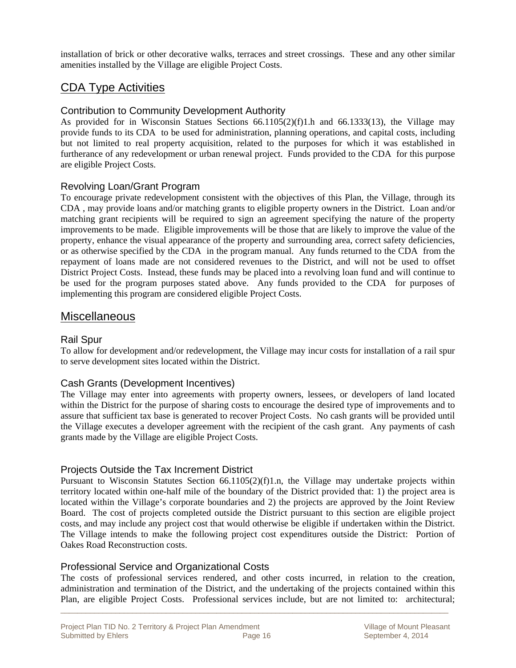installation of brick or other decorative walks, terraces and street crossings. These and any other similar amenities installed by the Village are eligible Project Costs.

#### CDA Type Activities

#### Contribution to Community Development Authority

As provided for in Wisconsin Statues Sections 66.1105(2)(f)1.h and 66.1333(13), the Village may provide funds to its CDA to be used for administration, planning operations, and capital costs, including but not limited to real property acquisition, related to the purposes for which it was established in furtherance of any redevelopment or urban renewal project. Funds provided to the CDA for this purpose are eligible Project Costs.

#### Revolving Loan/Grant Program

To encourage private redevelopment consistent with the objectives of this Plan, the Village, through its CDA , may provide loans and/or matching grants to eligible property owners in the District. Loan and/or matching grant recipients will be required to sign an agreement specifying the nature of the property improvements to be made. Eligible improvements will be those that are likely to improve the value of the property, enhance the visual appearance of the property and surrounding area, correct safety deficiencies, or as otherwise specified by the CDA in the program manual. Any funds returned to the CDA from the repayment of loans made are not considered revenues to the District, and will not be used to offset District Project Costs. Instead, these funds may be placed into a revolving loan fund and will continue to be used for the program purposes stated above. Any funds provided to the CDA for purposes of implementing this program are considered eligible Project Costs.

#### **Miscellaneous**

#### Rail Spur

To allow for development and/or redevelopment, the Village may incur costs for installation of a rail spur to serve development sites located within the District.

#### Cash Grants (Development Incentives)

The Village may enter into agreements with property owners, lessees, or developers of land located within the District for the purpose of sharing costs to encourage the desired type of improvements and to assure that sufficient tax base is generated to recover Project Costs. No cash grants will be provided until the Village executes a developer agreement with the recipient of the cash grant. Any payments of cash grants made by the Village are eligible Project Costs.

#### Projects Outside the Tax Increment District

Pursuant to Wisconsin Statutes Section 66.1105(2)(f)1.n, the Village may undertake projects within territory located within one-half mile of the boundary of the District provided that: 1) the project area is located within the Village's corporate boundaries and 2) the projects are approved by the Joint Review Board. The cost of projects completed outside the District pursuant to this section are eligible project costs, and may include any project cost that would otherwise be eligible if undertaken within the District. The Village intends to make the following project cost expenditures outside the District: Portion of Oakes Road Reconstruction costs.

#### Professional Service and Organizational Costs

The costs of professional services rendered, and other costs incurred, in relation to the creation, administration and termination of the District, and the undertaking of the projects contained within this Plan, are eligible Project Costs. Professional services include, but are not limited to: architectural;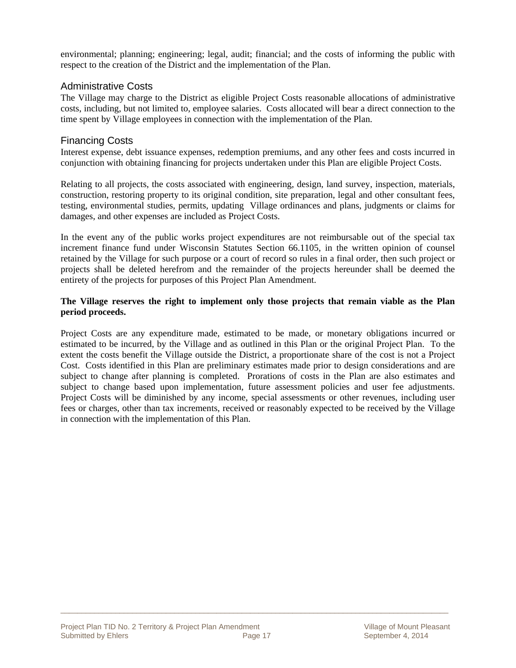environmental; planning; engineering; legal, audit; financial; and the costs of informing the public with respect to the creation of the District and the implementation of the Plan.

#### Administrative Costs

The Village may charge to the District as eligible Project Costs reasonable allocations of administrative costs, including, but not limited to, employee salaries. Costs allocated will bear a direct connection to the time spent by Village employees in connection with the implementation of the Plan.

#### Financing Costs

Interest expense, debt issuance expenses, redemption premiums, and any other fees and costs incurred in conjunction with obtaining financing for projects undertaken under this Plan are eligible Project Costs.

Relating to all projects, the costs associated with engineering, design, land survey, inspection, materials, construction, restoring property to its original condition, site preparation, legal and other consultant fees, testing, environmental studies, permits, updating Village ordinances and plans, judgments or claims for damages, and other expenses are included as Project Costs.

In the event any of the public works project expenditures are not reimbursable out of the special tax increment finance fund under Wisconsin Statutes Section 66.1105, in the written opinion of counsel retained by the Village for such purpose or a court of record so rules in a final order, then such project or projects shall be deleted herefrom and the remainder of the projects hereunder shall be deemed the entirety of the projects for purposes of this Project Plan Amendment.

#### **The Village reserves the right to implement only those projects that remain viable as the Plan period proceeds.**

Project Costs are any expenditure made, estimated to be made, or monetary obligations incurred or estimated to be incurred, by the Village and as outlined in this Plan or the original Project Plan. To the extent the costs benefit the Village outside the District, a proportionate share of the cost is not a Project Cost. Costs identified in this Plan are preliminary estimates made prior to design considerations and are subject to change after planning is completed. Prorations of costs in the Plan are also estimates and subject to change based upon implementation, future assessment policies and user fee adjustments. Project Costs will be diminished by any income, special assessments or other revenues, including user fees or charges, other than tax increments, received or reasonably expected to be received by the Village in connection with the implementation of this Plan.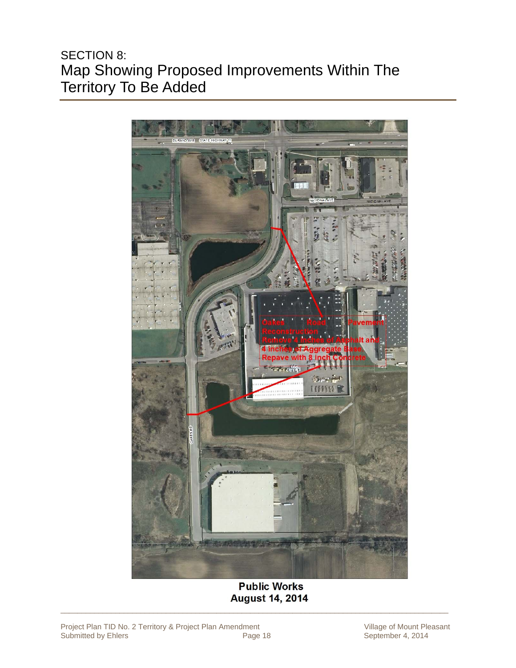### SECTION 8: Map Showing Proposed Improvements Within The Territory To Be Added



**Public Works August 14, 2014**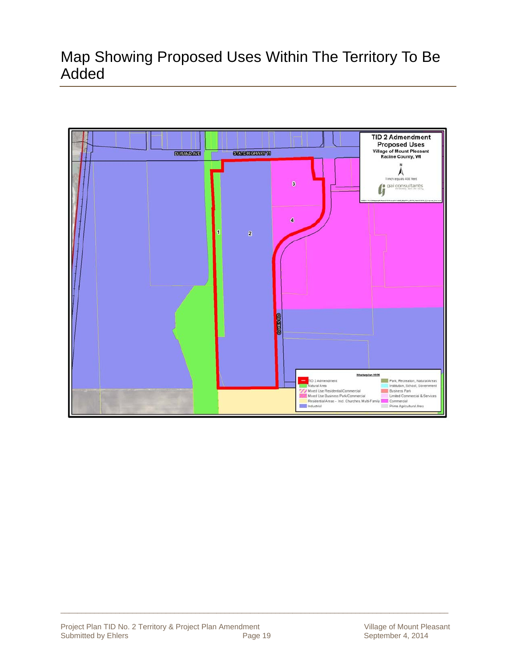### Map Showing Proposed Uses Within The Territory To Be Added

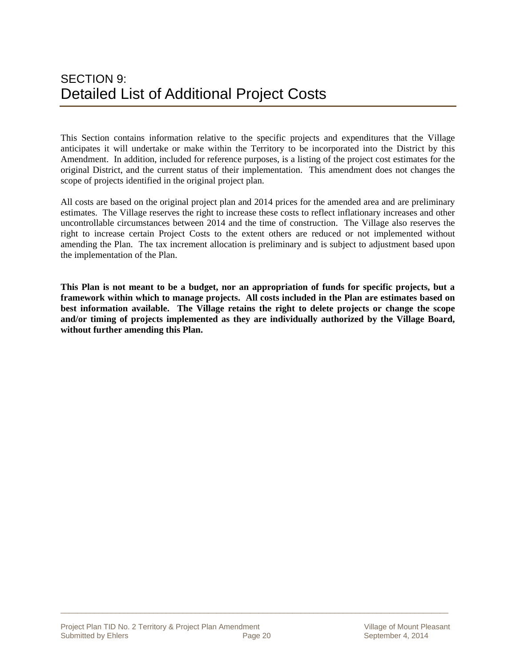This Section contains information relative to the specific projects and expenditures that the Village anticipates it will undertake or make within the Territory to be incorporated into the District by this Amendment. In addition, included for reference purposes, is a listing of the project cost estimates for the original District, and the current status of their implementation. This amendment does not changes the scope of projects identified in the original project plan.

All costs are based on the original project plan and 2014 prices for the amended area and are preliminary estimates. The Village reserves the right to increase these costs to reflect inflationary increases and other uncontrollable circumstances between 2014 and the time of construction. The Village also reserves the right to increase certain Project Costs to the extent others are reduced or not implemented without amending the Plan. The tax increment allocation is preliminary and is subject to adjustment based upon the implementation of the Plan.

**This Plan is not meant to be a budget, nor an appropriation of funds for specific projects, but a framework within which to manage projects. All costs included in the Plan are estimates based on best information available. The Village retains the right to delete projects or change the scope and/or timing of projects implemented as they are individually authorized by the Village Board, without further amending this Plan.**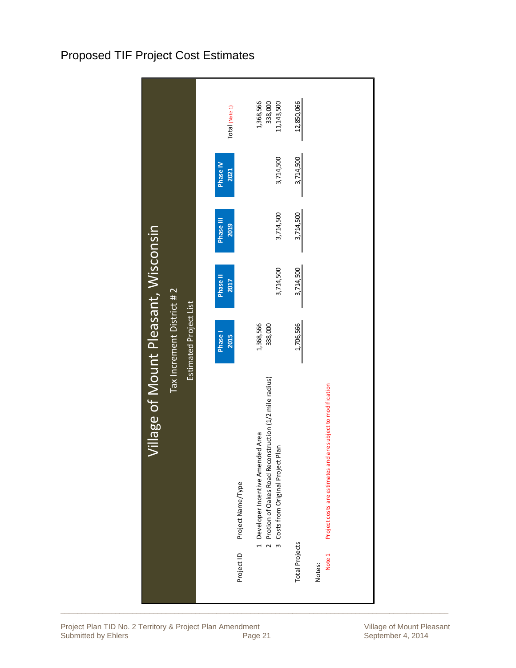### Proposed TIF Project Cost Estimates

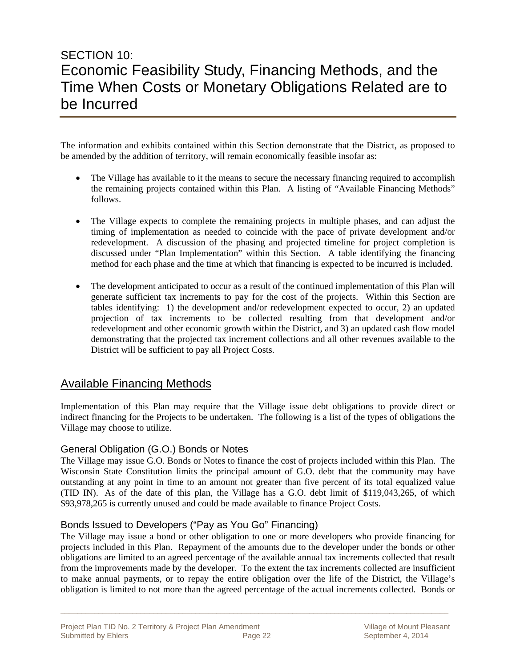### SECTION 10: Economic Feasibility Study, Financing Methods, and the Time When Costs or Monetary Obligations Related are to be Incurred

The information and exhibits contained within this Section demonstrate that the District, as proposed to be amended by the addition of territory, will remain economically feasible insofar as:

- The Village has available to it the means to secure the necessary financing required to accomplish the remaining projects contained within this Plan. A listing of "Available Financing Methods" follows.
- The Village expects to complete the remaining projects in multiple phases, and can adjust the timing of implementation as needed to coincide with the pace of private development and/or redevelopment. A discussion of the phasing and projected timeline for project completion is discussed under "Plan Implementation" within this Section. A table identifying the financing method for each phase and the time at which that financing is expected to be incurred is included.
- The development anticipated to occur as a result of the continued implementation of this Plan will generate sufficient tax increments to pay for the cost of the projects. Within this Section are tables identifying: 1) the development and/or redevelopment expected to occur, 2) an updated projection of tax increments to be collected resulting from that development and/or redevelopment and other economic growth within the District, and 3) an updated cash flow model demonstrating that the projected tax increment collections and all other revenues available to the District will be sufficient to pay all Project Costs.

#### Available Financing Methods

Implementation of this Plan may require that the Village issue debt obligations to provide direct or indirect financing for the Projects to be undertaken. The following is a list of the types of obligations the Village may choose to utilize.

#### General Obligation (G.O.) Bonds or Notes

The Village may issue G.O. Bonds or Notes to finance the cost of projects included within this Plan. The Wisconsin State Constitution limits the principal amount of G.O. debt that the community may have outstanding at any point in time to an amount not greater than five percent of its total equalized value (TID IN). As of the date of this plan, the Village has a G.O. debt limit of \$119,043,265, of which \$93,978,265 is currently unused and could be made available to finance Project Costs.

#### Bonds Issued to Developers ("Pay as You Go" Financing)

The Village may issue a bond or other obligation to one or more developers who provide financing for projects included in this Plan. Repayment of the amounts due to the developer under the bonds or other obligations are limited to an agreed percentage of the available annual tax increments collected that result from the improvements made by the developer. To the extent the tax increments collected are insufficient to make annual payments, or to repay the entire obligation over the life of the District, the Village's obligation is limited to not more than the agreed percentage of the actual increments collected. Bonds or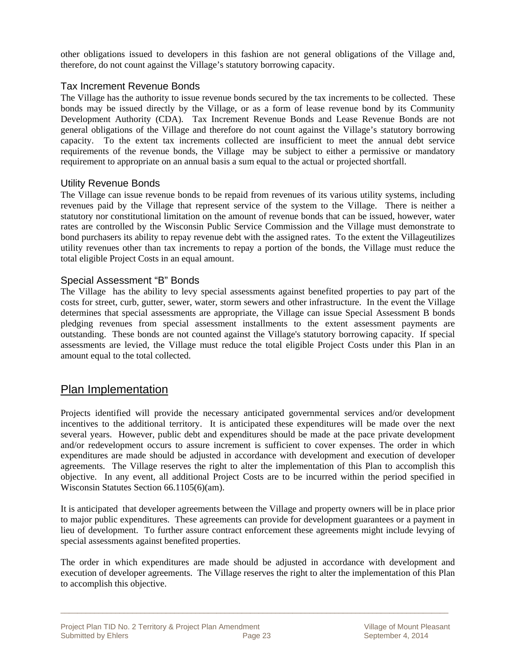other obligations issued to developers in this fashion are not general obligations of the Village and, therefore, do not count against the Village's statutory borrowing capacity.

#### Tax Increment Revenue Bonds

The Village has the authority to issue revenue bonds secured by the tax increments to be collected. These bonds may be issued directly by the Village, or as a form of lease revenue bond by its Community Development Authority (CDA). Tax Increment Revenue Bonds and Lease Revenue Bonds are not general obligations of the Village and therefore do not count against the Village's statutory borrowing capacity. To the extent tax increments collected are insufficient to meet the annual debt service requirements of the revenue bonds, the Village may be subject to either a permissive or mandatory requirement to appropriate on an annual basis a sum equal to the actual or projected shortfall.

#### Utility Revenue Bonds

The Village can issue revenue bonds to be repaid from revenues of its various utility systems, including revenues paid by the Village that represent service of the system to the Village. There is neither a statutory nor constitutional limitation on the amount of revenue bonds that can be issued, however, water rates are controlled by the Wisconsin Public Service Commission and the Village must demonstrate to bond purchasers its ability to repay revenue debt with the assigned rates. To the extent the Villageutilizes utility revenues other than tax increments to repay a portion of the bonds, the Village must reduce the total eligible Project Costs in an equal amount.

#### Special Assessment "B" Bonds

The Village has the ability to levy special assessments against benefited properties to pay part of the costs for street, curb, gutter, sewer, water, storm sewers and other infrastructure. In the event the Village determines that special assessments are appropriate, the Village can issue Special Assessment B bonds pledging revenues from special assessment installments to the extent assessment payments are outstanding. These bonds are not counted against the Village's statutory borrowing capacity. If special assessments are levied, the Village must reduce the total eligible Project Costs under this Plan in an amount equal to the total collected.

#### Plan Implementation

Projects identified will provide the necessary anticipated governmental services and/or development incentives to the additional territory. It is anticipated these expenditures will be made over the next several years. However, public debt and expenditures should be made at the pace private development and/or redevelopment occurs to assure increment is sufficient to cover expenses. The order in which expenditures are made should be adjusted in accordance with development and execution of developer agreements. The Village reserves the right to alter the implementation of this Plan to accomplish this objective. In any event, all additional Project Costs are to be incurred within the period specified in Wisconsin Statutes Section 66.1105(6)(am).

It is anticipated that developer agreements between the Village and property owners will be in place prior to major public expenditures. These agreements can provide for development guarantees or a payment in lieu of development. To further assure contract enforcement these agreements might include levying of special assessments against benefited properties.

The order in which expenditures are made should be adjusted in accordance with development and execution of developer agreements. The Village reserves the right to alter the implementation of this Plan to accomplish this objective.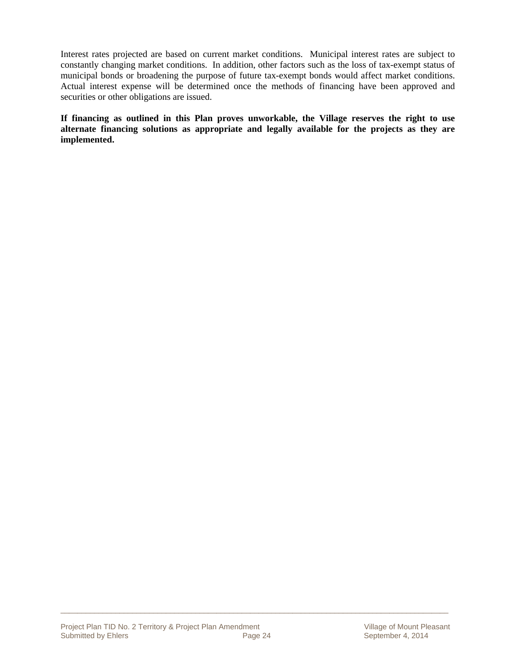Interest rates projected are based on current market conditions. Municipal interest rates are subject to constantly changing market conditions. In addition, other factors such as the loss of tax-exempt status of municipal bonds or broadening the purpose of future tax-exempt bonds would affect market conditions. Actual interest expense will be determined once the methods of financing have been approved and securities or other obligations are issued.

**If financing as outlined in this Plan proves unworkable, the Village reserves the right to use alternate financing solutions as appropriate and legally available for the projects as they are implemented.**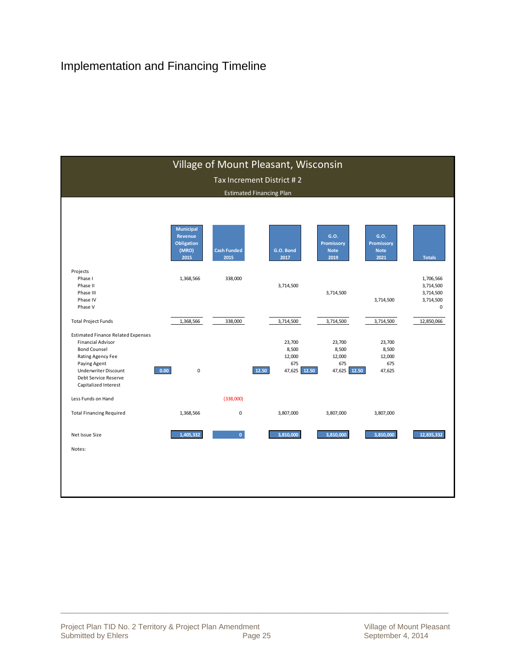### Implementation and Financing Timeline

|                                                                                                                                                                                                                  |                                                    |                    | Village of Mount Pleasant, Wisconsin                         |                                                  |                                            |                                                       |
|------------------------------------------------------------------------------------------------------------------------------------------------------------------------------------------------------------------|----------------------------------------------------|--------------------|--------------------------------------------------------------|--------------------------------------------------|--------------------------------------------|-------------------------------------------------------|
|                                                                                                                                                                                                                  |                                                    |                    | Tax Increment District #2                                    |                                                  |                                            |                                                       |
|                                                                                                                                                                                                                  |                                                    |                    | <b>Estimated Financing Plan</b>                              |                                                  |                                            |                                                       |
|                                                                                                                                                                                                                  | <b>Municipal</b><br>Revenue<br>Obligation<br>(MRO) | <b>Cash Funded</b> | G.O. Bond                                                    | G.O.<br>Promissory<br><b>Note</b>                | G.O.<br>Promissory<br><b>Note</b>          |                                                       |
|                                                                                                                                                                                                                  | 2015                                               | 2015               | 2017                                                         | 2019                                             | 2021                                       | <b>Totals</b>                                         |
| Projects<br>Phase I<br>Phase II<br>Phase III<br>Phase IV<br>Phase V                                                                                                                                              | 1,368,566                                          | 338,000            | 3,714,500                                                    | 3,714,500                                        | 3,714,500                                  | 1,706,566<br>3,714,500<br>3,714,500<br>3,714,500<br>0 |
| <b>Total Project Funds</b>                                                                                                                                                                                       | 1,368,566                                          | 338,000            | 3,714,500                                                    | 3,714,500                                        | 3,714,500                                  | 12,850,066                                            |
| <b>Estimated Finance Related Expenses</b><br><b>Financial Advisor</b><br><b>Bond Counsel</b><br>Rating Agency Fee<br>Paying Agent<br><b>Underwriter Discount</b><br>Debt Service Reserve<br>Capitalized Interest | 0.00<br>$\mathbf 0$                                |                    | 23,700<br>8,500<br>12,000<br>675<br>12.50<br>12.50<br>47,625 | 23,700<br>8,500<br>12,000<br>675<br>47,625 12.50 | 23,700<br>8,500<br>12,000<br>675<br>47,625 |                                                       |
| Less Funds on Hand                                                                                                                                                                                               |                                                    | (338,000)          |                                                              |                                                  |                                            |                                                       |
| <b>Total Financing Required</b>                                                                                                                                                                                  | 1,368,566                                          | 0                  | 3,807,000                                                    | 3,807,000                                        | 3,807,000                                  |                                                       |
| Net Issue Size                                                                                                                                                                                                   | 1.405.332                                          | $\mathbf{0}$       | 3,810,000                                                    | 3,810,000                                        | 3,810,000                                  | 12.835.332                                            |
| Notes:                                                                                                                                                                                                           |                                                    |                    |                                                              |                                                  |                                            |                                                       |
|                                                                                                                                                                                                                  |                                                    |                    |                                                              |                                                  |                                            |                                                       |
|                                                                                                                                                                                                                  |                                                    |                    |                                                              |                                                  |                                            |                                                       |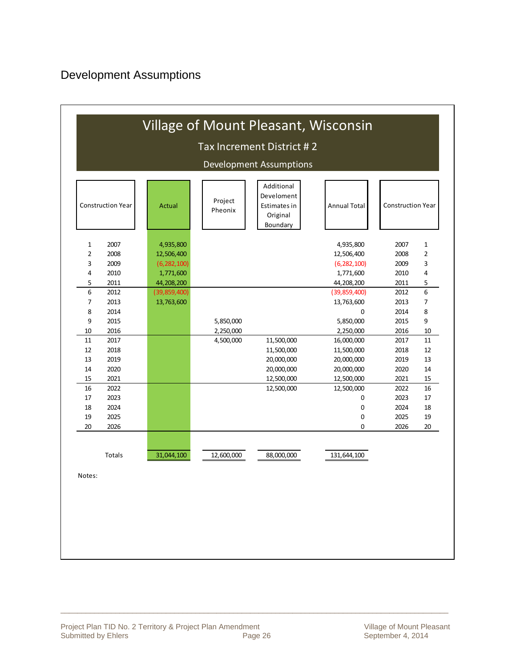| <b>Construction Year</b> | Actual         | Project<br>Pheonix | <b>Annual Total</b>                         | <b>Construction Year</b> |      |    |  |  |  |  |  |  |
|--------------------------|----------------|--------------------|---------------------------------------------|--------------------------|------|----|--|--|--|--|--|--|
| 2007<br>$\mathbf{1}$     | 4,935,800      |                    |                                             | 4,935,800                | 2007 | 1  |  |  |  |  |  |  |
| $\overline{2}$<br>2008   | 12,506,400     |                    |                                             | 12,506,400               | 2008 | 2  |  |  |  |  |  |  |
| 3<br>2009                | (6, 282, 100)  |                    |                                             | (6, 282, 100)            | 2009 | 3  |  |  |  |  |  |  |
| 4<br>2010                | 1,771,600      |                    |                                             | 1,771,600                | 2010 | 4  |  |  |  |  |  |  |
| 5<br>2011                | 44,208,200     |                    |                                             | 44,208,200               | 2011 | 5  |  |  |  |  |  |  |
| 6<br>2012                | (39, 859, 400) |                    |                                             | (39, 859, 400)           | 2012 | 6  |  |  |  |  |  |  |
| 2013<br>7                | 13,763,600     |                    |                                             | 13,763,600               | 2013 | 7  |  |  |  |  |  |  |
| 8<br>2014                |                |                    | 0<br>2014<br>5,850,000<br>2015<br>5,850,000 |                          |      |    |  |  |  |  |  |  |
| 9<br>2015                |                |                    |                                             |                          |      |    |  |  |  |  |  |  |
| 2016<br>10               |                | 2,250,000          | 2,250,000                                   |                          |      |    |  |  |  |  |  |  |
| 11<br>2017               |                | 4,500,000          | 11,500,000                                  | 16,000,000               | 2017 | 11 |  |  |  |  |  |  |
| 12<br>2018               |                |                    | 11,500,000                                  | 11,500,000               | 2018 | 12 |  |  |  |  |  |  |
| 13<br>2019               |                |                    | 20,000,000                                  | 20,000,000               | 2019 | 13 |  |  |  |  |  |  |
| 2020<br>14               |                |                    | 20,000,000                                  | 20,000,000               | 2020 | 14 |  |  |  |  |  |  |
| 2021<br>15               |                |                    | 12,500,000                                  | 12,500,000               | 2021 | 15 |  |  |  |  |  |  |
| 2022<br>16               |                |                    | 12,500,000                                  | 12,500,000               | 2022 | 16 |  |  |  |  |  |  |
| 17<br>2023               |                |                    |                                             | 0                        | 2023 | 17 |  |  |  |  |  |  |
| 2024<br>18               |                |                    |                                             | 0                        | 2024 | 18 |  |  |  |  |  |  |
| 2025<br>19               |                |                    |                                             | 0                        | 2025 | 19 |  |  |  |  |  |  |
| 2026<br>20               |                |                    |                                             | 0                        | 2026 | 20 |  |  |  |  |  |  |
| Totals                   | 31,044,100     | 12,600,000         | 88,000,000                                  | 131,644,100              |      |    |  |  |  |  |  |  |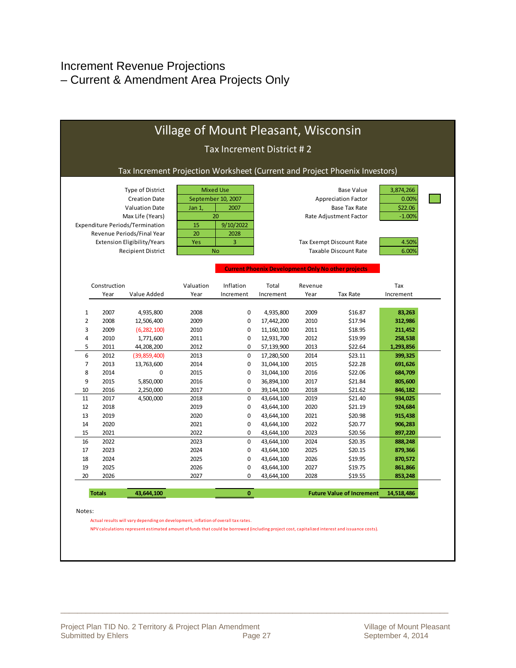### Increment Revenue Projections – Current & Amendment Area Projects Only

|                         |               |                                                                                                                          |              | Tax Increment District #2                                         |                                                           |              |                                                                                                   |                                           |         |         |  |
|-------------------------|---------------|--------------------------------------------------------------------------------------------------------------------------|--------------|-------------------------------------------------------------------|-----------------------------------------------------------|--------------|---------------------------------------------------------------------------------------------------|-------------------------------------------|---------|---------|--|
|                         |               | Tax Increment Projection Worksheet (Current and Project Phoenix Investors)                                               |              |                                                                   |                                                           |              |                                                                                                   |                                           |         |         |  |
|                         |               | Type of District<br><b>Creation Date</b><br><b>Valuation Date</b><br>Max Life (Years)<br>Expenditure Periods/Termination | Jan 1,<br>15 | <b>Mixed Use</b><br>September 10, 2007<br>2007<br>20<br>9/10/2022 |                                                           |              | <b>Base Value</b><br><b>Appreciation Factor</b><br><b>Base Tax Rate</b><br>Rate Adjustment Factor | 3,874,266<br>0.00%<br>\$22.06<br>$-1.00%$ |         |         |  |
|                         |               | Revenue Periods/Final Year<br>Extension Eligibility/Years                                                                | 20<br>Yes    | 2028<br>3                                                         |                                                           |              | Tax Exempt Discount Rate                                                                          | 4.50%                                     |         |         |  |
|                         |               | <b>Recipient District</b>                                                                                                |              | <b>No</b>                                                         |                                                           |              | <b>Taxable Discount Rate</b>                                                                      | 6.00%                                     |         |         |  |
|                         |               |                                                                                                                          |              |                                                                   | <b>Current Phoenix Development Only No other projects</b> |              |                                                                                                   |                                           |         |         |  |
|                         | Construction  |                                                                                                                          | Valuation    | Inflation                                                         | Total                                                     | Revenue      |                                                                                                   | Tax                                       |         |         |  |
|                         | Year          | Value Added                                                                                                              | Year         | Increment                                                         | Increment                                                 | Year         | <b>Tax Rate</b>                                                                                   | Increment                                 |         |         |  |
|                         |               |                                                                                                                          |              |                                                                   |                                                           |              |                                                                                                   |                                           |         |         |  |
| $1\,$<br>$\overline{2}$ | 2007<br>2008  | 4,935,800<br>12,506,400                                                                                                  | 2008<br>2009 | $\mathbf 0$<br>0                                                  | 4,935,800<br>17,442,200                                   | 2009<br>2010 | \$16.87<br>\$17.94                                                                                | 83,263<br>312,986                         |         |         |  |
| 3                       | 2009          | (6, 282, 100)                                                                                                            | 2010         | 0                                                                 | 11, 160, 100                                              | 2011         | \$18.95                                                                                           | 211,452                                   |         |         |  |
| $\overline{4}$          | 2010          | 1,771,600                                                                                                                |              |                                                                   | 2011                                                      | 0            | 12,931,700                                                                                        | 2012                                      | \$19.99 | 258,538 |  |
| 5                       | 2011          | 44,208,200                                                                                                               | 2012         | $\mathbf 0$                                                       | 57,139,900                                                | 2013         | \$22.64                                                                                           | 1,293,856                                 |         |         |  |
| 6                       | 2012          | (39, 859, 400)                                                                                                           | 2013         | $\mathbf 0$                                                       | 17,280,500                                                | 2014         | \$23.11                                                                                           | 399,325                                   |         |         |  |
| $\overline{7}$          | 2013          | 13,763,600                                                                                                               | 2014         | $\mathbf 0$                                                       | 31,044,100                                                | 2015         | \$22.28                                                                                           | 691,626                                   |         |         |  |
| 8                       | 2014          | 0                                                                                                                        | 2015         | $\mathbf 0$                                                       | 31,044,100                                                | 2016         | \$22.06                                                                                           | 684,709                                   |         |         |  |
| 9                       | 2015          | 5,850,000                                                                                                                | 2016         | $\mathbf 0$                                                       | 36,894,100                                                | 2017         | \$21.84                                                                                           | 805,600                                   |         |         |  |
| 10                      | 2016          | 2,250,000                                                                                                                | 2017         | $\mathbf 0$                                                       | 39,144,100                                                | 2018         | \$21.62                                                                                           | 846,182                                   |         |         |  |
| 11                      | 2017          | 4,500,000                                                                                                                | 2018         | 0                                                                 | 43,644,100                                                | 2019         | \$21.40                                                                                           | 934,025                                   |         |         |  |
| 12                      | 2018          |                                                                                                                          | 2019         | 0                                                                 | 43,644,100                                                | 2020         | \$21.19                                                                                           | 924,684                                   |         |         |  |
| 13                      | 2019          |                                                                                                                          | 2020         | 0                                                                 | 43,644,100                                                | 2021         | \$20.98                                                                                           | 915,438                                   |         |         |  |
| 14                      | 2020          |                                                                                                                          | 2021         | 0                                                                 | 43,644,100                                                | 2022         | \$20.77                                                                                           | 906,283                                   |         |         |  |
| 15                      | 2021          |                                                                                                                          | 2022         | 0                                                                 | 43,644,100                                                | 2023         | \$20.56                                                                                           | 897,220                                   |         |         |  |
| 16                      | 2022          |                                                                                                                          | 2023         | 0                                                                 | 43,644,100                                                | 2024         | \$20.35                                                                                           | 888,248                                   |         |         |  |
| 17                      | 2023          |                                                                                                                          | 2024         | 0                                                                 | 43,644,100                                                | 2025         | \$20.15                                                                                           | 879,366                                   |         |         |  |
| 18                      | 2024          |                                                                                                                          | 2025         | 0                                                                 | 43,644,100                                                | 2026         | \$19.95                                                                                           | 870,572                                   |         |         |  |
| 19                      | 2025          |                                                                                                                          | 2026         | 0                                                                 | 43,644,100                                                | 2027         | \$19.75                                                                                           | 861,866                                   |         |         |  |
| 20                      | 2026          |                                                                                                                          | 2027         | $\mathbf 0$                                                       | 43,644,100                                                | 2028         | \$19.55                                                                                           | 853,248                                   |         |         |  |
|                         | <b>Totals</b> | 43,644,100                                                                                                               |              | $\mathbf{0}$                                                      |                                                           |              | <b>Future Value of Increment</b>                                                                  | 14,518,486                                |         |         |  |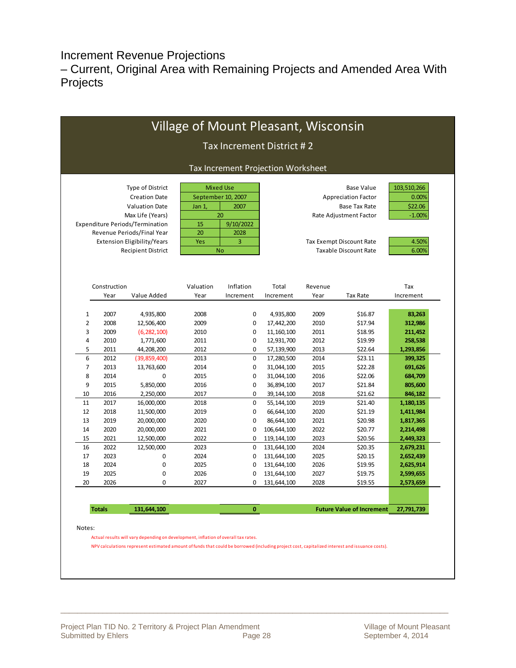Increment Revenue Projections

– Current, Original Area with Remaining Projects and Amended Area With Projects

|                                                                                 |               |                                        |           |           | Tax Increment District #2          |                 |                                  |            |  |  |  |  |
|---------------------------------------------------------------------------------|---------------|----------------------------------------|-----------|-----------|------------------------------------|-----------------|----------------------------------|------------|--|--|--|--|
|                                                                                 |               |                                        |           |           | Tax Increment Projection Worksheet |                 |                                  |            |  |  |  |  |
| <b>Mixed Use</b><br>Type of District<br><b>Base Value</b><br>September 10, 2007 |               |                                        |           |           |                                    |                 |                                  |            |  |  |  |  |
|                                                                                 |               | <b>Creation Date</b>                   |           |           |                                    |                 | <b>Appreciation Factor</b>       | 0.00%      |  |  |  |  |
|                                                                                 |               | <b>Valuation Date</b>                  | Jan 1,    | 2007      |                                    |                 | <b>Base Tax Rate</b>             | \$22.06    |  |  |  |  |
|                                                                                 |               | Max Life (Years)                       |           | 20        |                                    |                 | Rate Adjustment Factor           | $-1.00%$   |  |  |  |  |
|                                                                                 |               | <b>Expenditure Periods/Termination</b> | 15        | 9/10/2022 |                                    |                 |                                  |            |  |  |  |  |
|                                                                                 |               | Revenue Periods/Final Year             | 20        | 2028      |                                    |                 |                                  |            |  |  |  |  |
|                                                                                 |               | Extension Eligibility/Years            | Yes       | 3         |                                    |                 | Tax Exempt Discount Rate         | 4.50%      |  |  |  |  |
|                                                                                 |               | <b>Recipient District</b>              |           | <b>No</b> |                                    |                 | <b>Taxable Discount Rate</b>     | 6.00%      |  |  |  |  |
|                                                                                 | Construction  |                                        | Valuation | Inflation | Total                              | Revenue         |                                  | Tax        |  |  |  |  |
|                                                                                 | Year          | Value Added                            | Year      | Increment | Increment                          | Year            | <b>Tax Rate</b>                  | Increment  |  |  |  |  |
|                                                                                 |               |                                        |           |           |                                    |                 |                                  |            |  |  |  |  |
| $1\,$                                                                           | 2007          | 4,935,800                              | 2008      | 0         | 4,935,800                          | 2009            | \$16.87                          | 83,263     |  |  |  |  |
| $\overline{2}$                                                                  | 2008          | 12,506,400                             | 2009      | 0         | 17,442,200                         | 2010            | \$17.94                          |            |  |  |  |  |
| 3                                                                               | 2009          | (6, 282, 100)                          | 2010      | 0         | 11, 160, 100                       | 2011            | 312,986<br>211,452               |            |  |  |  |  |
| 4                                                                               | 2010          | 1,771,600                              | 2011      | 0         | 12,931,700                         | 2012            | 258,538                          |            |  |  |  |  |
| 5                                                                               | 2011          | 44,208,200                             | 2012      | 0         | 57,139,900                         | 2013<br>\$22.64 |                                  |            |  |  |  |  |
| 6                                                                               | 2012          | (39, 859, 400)                         | 2013      | 0         | 17,280,500                         | 2014<br>\$23.11 |                                  |            |  |  |  |  |
| $\overline{7}$                                                                  | 2013          | 13,763,600                             | 2014      | 0         | 31,044,100                         | \$22.28         | 691,626                          |            |  |  |  |  |
| 8                                                                               | 2014          | $\mathbf 0$                            | 2015      | 0         | 31,044,100                         | \$22.06         | 684,709                          |            |  |  |  |  |
| 9                                                                               | 2015          | 5,850,000                              | 2016      | 0         | 36,894,100                         | 2017            | \$21.84                          | 805,600    |  |  |  |  |
| 10                                                                              | 2016          | 2,250,000                              | 2017      | 0         | 39,144,100                         | 2018<br>\$21.62 |                                  |            |  |  |  |  |
| 11                                                                              | 2017          | 16,000,000                             | 2018      | 0         | 55,144,100                         | 2019            | \$21.40                          | 1,180,135  |  |  |  |  |
| 12                                                                              | 2018          | 11,500,000                             | 2019      | 0         | 66,644,100                         | 2020            | \$21.19                          | 1,411,984  |  |  |  |  |
| 13                                                                              | 2019          | 20,000,000                             | 2020      | 0         | 86,644,100                         | 2021            | \$20.98                          | 1,817,365  |  |  |  |  |
| 14                                                                              | 2020          | 20,000,000                             | 2021      | 0         | 106,644,100                        | 2022            | \$20.77                          | 2,214,498  |  |  |  |  |
| 15                                                                              | 2021          | 12,500,000                             | 2022      | 0         | 119,144,100                        | 2023            | \$20.56                          | 2,449,323  |  |  |  |  |
| 16                                                                              | 2022          | 12,500,000                             | 2023      | 0         | 131,644,100                        | 2024            | \$20.35                          | 2,679,231  |  |  |  |  |
| 17                                                                              | 2023          | 0                                      | 2024      | 0         | 131,644,100                        | 2025            | \$20.15                          | 2,652,439  |  |  |  |  |
| 18                                                                              | 2024          | 0                                      | 2025      | 0         | 131,644,100                        | 2026            | \$19.95                          | 2,625,914  |  |  |  |  |
| 19                                                                              | 2025          | 0                                      | 2026      | 0         | 131,644,100                        | 2027            | \$19.75                          | 2,599,655  |  |  |  |  |
| 20                                                                              | 2026          | 0                                      | 2027      | 0         | 131,644,100                        | 2028            | \$19.55                          | 2,573,659  |  |  |  |  |
|                                                                                 |               |                                        |           |           |                                    |                 |                                  |            |  |  |  |  |
|                                                                                 | <b>Totals</b> | 131,644,100                            |           | 0         |                                    |                 | <b>Future Value of Increment</b> | 27,791,739 |  |  |  |  |
|                                                                                 |               |                                        |           |           |                                    |                 |                                  |            |  |  |  |  |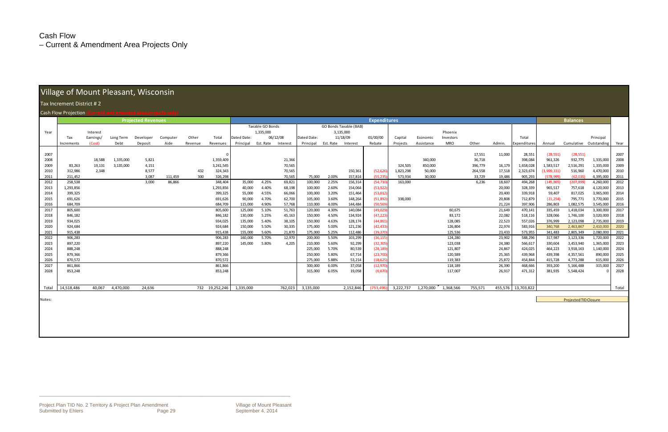### Cash Flow

– Current & Amendment Area Projects Only

### Village of Mount Pleasant, Wisconsin

#### x Increment District ## 2

#### h Flow

| Tax Increment District #2 |                           |           |           |           |          |         |                |             |                     |          |             |           |                               |           |           |            |            |         |         |                 |             |            |             |       |
|---------------------------|---------------------------|-----------|-----------|-----------|----------|---------|----------------|-------------|---------------------|----------|-------------|-----------|-------------------------------|-----------|-----------|------------|------------|---------|---------|-----------------|-------------|------------|-------------|-------|
|                           | Cash Flow Projection      |           |           |           |          |         |                |             |                     |          |             |           |                               |           |           |            |            |         |         |                 |             |            |             |       |
|                           | <b>Projected Revenues</b> |           |           |           |          |         |                |             | <b>Expenditures</b> |          |             |           |                               |           |           |            |            |         |         | <b>Balances</b> |             |            |             |       |
|                           |                           |           |           |           |          |         |                |             | Taxable GO Bonds    |          |             |           | <b>GO Bonds Taxable (BAB)</b> |           |           |            |            |         |         |                 |             |            |             |       |
| Year                      |                           | Interest  |           |           |          |         |                |             | 1,335,000           |          |             |           | 3,135,000                     |           |           |            | Phoenix    |         |         |                 |             |            |             |       |
|                           | Tax                       | Earnings/ | Long Term | Developer | Computer | Other   | Total          | Dated Date: |                     | 06/12/08 | Dated Date: |           | 11/18/09                      | 01/00/00  | Capital   | Economic   | Investors  |         |         | Total           |             |            | Principal   |       |
|                           | Increments                | (Cost)    | Debt      | Deposit   | Aide     | Revenue | Revenues       | Principal   | Est. Rate           | Interest | Principal   | Est. Rate | Interest                      | Rebate    | Projects  | Assistance | <b>MRO</b> | Other   | Admin.  | Expenditures    | Annual      | Cumulative | Outstanding | Year  |
|                           |                           |           |           |           |          |         |                |             |                     |          |             |           |                               |           |           |            |            |         |         |                 |             |            |             |       |
| 2007                      |                           |           |           |           |          |         |                |             |                     |          |             |           |                               |           |           |            |            | 17,551  | 11,000  | 28,551          | (28, 551)   | (28, 551)  |             | 2007  |
| 2008                      |                           | 18,588    | 1,335,000 | 5,821     |          |         | 1,359,409      |             |                     | 21,366   |             |           |                               |           |           | 340,000    |            | 36,718  |         | 398,084         | 961,326     | 932,775    | 1,335,000   | 2008  |
| 2009                      | 83,263                    | 19,131    | 3,135,000 | 4,151     |          |         | 3,241,545      |             |                     | 70,565   |             |           |                               |           | 324,505   | 850,000    |            | 396,779 | 16,179  | 1,658,028       | 1,583,517   | 2,516,291  | 1,335,000   | 2009  |
| 2010                      | 312,986                   | 2,348     |           | 8,577     |          | 432     | 324,343        |             |                     | 70,565   |             |           | 150,361                       | (52, 626) | 1,823,298 | 50,000     |            | 264,558 | 17,518  | 2,323,674       | (1,999,331) | 516,960    | 4,470,000   | 2010  |
| 2011                      | 211,452                   |           |           | 3,087     | 111,459  | 300     | 326,298        |             |                     | 70,565   | 75,000      | 2.00%     | 157,814                       | (55, 235) | 573,934   | 30,000     |            | 33,729  | 19,486  | 905,293         | (578, 995)  | (62, 035)  | 4,395,000   | 2011  |
| 2012                      | 258,538                   |           |           | 3,000     | 86,866   |         | 348,404        | 35,000      | 4.25%               | 69,821   | 100,000     | 2.25%     | 156,314                       | (54, 710) | 163,000   |            |            | 6,236   | 18,607  | 494,268         | (145, 865)  | (207, 899) | 4,260,000   | 2012  |
| 2013                      | 1,293,856                 |           |           |           |          |         | 1,293,856      | 40,000      | 4.40%               | 68,198   | 100,000     | 2.60%     | 154,064                       | (53, 922) |           |            |            |         | 20,000  | 328,339         | 965,517     | 757,618    | 4,120,000   | 2013  |
| 2014                      | 399,325                   |           |           |           |          |         | 399,325        | 55,000      | 4.55%               | 66,066   | 100,000     | 3.20%     | 151,464                       | (53, 012) |           |            |            |         | 20,400  | 339,918         | 59,407      | 817,025    | 3,965,000   | 2014  |
| 2015                      | 691,626                   |           |           |           |          |         | 691,626        | 90,000      | 4.70%               | 62,700   | 105,000     | 3.60%     | 148,264                       | (51, 892) | 338,000   |            |            |         | 20,808  | 712,879         | (21, 254)   | 795,771    | 3,770,000   | 2015  |
| 2016                      | 684,709                   |           |           |           |          |         | 684,709        | 115,000     | 4.90%               | 57,768   | 110,000     | 4.00%     | 144,484                       | (50, 569) |           |            |            |         | 21,224  | 397,906         | 286,803     | 1,082,575  | 3,545,000   | 2016  |
| 2017                      | 805,600                   |           |           |           |          |         | 805,600        | 125,000     | 5.10%               | 51,763   | 120,000     | 4.30%     | 140,084                       | (49, 029) |           |            | 60,675     |         | 21,649  | 470,141         | 335,459     | 1,418,034  | 3,300,000   | 2017  |
| 2018                      | 846,182                   |           |           |           |          |         | 846,182        | 130,000     | 5.25%               | 45,163   | 150,000     | 4.50%     | 134,924                       | (47, 223) |           |            | 83,172     |         | 22,082  | 518,116         | 328,066     | 1,746,100  | 3,020,000   | 2018  |
| 2019                      | 934,025                   |           |           |           |          |         | 934,025        | 135,000     | 5.40%               | 38,105   | 150,000     | 4.63%     | 128,174                       | (44, 861) |           |            | 128,085    |         | 22,523  | 557,026         | 376,999     | 2,123,098  | 2,735,000   | 2019  |
| 2020                      | 924,684                   |           |           |           |          |         | 924,684        | 150,000     | 5.50%               | 30,335   | 175,000     | 5.00%     | 121,236                       | (42, 433) |           |            | 126,804    |         | 22,974  | 583,916         | 340,768     | 2,463,867  | 2,410,000   | 2020  |
| 2021                      | 915,438                   |           |           |           |          |         | 915.438        | 155,000     | 5.60%               | 21,870   | 175,000     | 5.25%     | 112,486                       | (39, 370) |           |            | 125.536    |         | 23.433  | 573,955         | 341,483     | 2,805,349  | 2,080,000   | 2021  |
| 2022                      | 906,283                   |           |           |           |          |         | 906,283        | 160,000     | 5.70%               | 12,970   | 200,000     | 5.50%     | 103,299                       | (36, 155) |           |            | 124,280    |         | 23,902  | 588,296         | 317,987     | 3,123,336  | 1,720,000   | 2022  |
| 2023                      | 897,220                   |           |           |           |          |         | 897,220        | 145,000     | 5.80%               | 4,205    | 210,000     | 5.60%     | 92,299                        | (32, 305) |           |            | 123,038    |         | 24,380  | 566,617         | 330,604     | 3,453,940  | 1,365,000   | 2023  |
| 2024                      | 888,248                   |           |           |           |          |         | 888,248        |             |                     |          | 225,000     | 5.70%     | 80,539                        | (28, 189) |           |            | 121,807    |         | 24,867  | 424,025         | 464,223     | 3,918,163  | 1,140,000   | 2024  |
| 2025                      | 879,366                   |           |           |           |          |         | 879,366        |             |                     |          | 250,000     | 5.80%     | 67,714                        | (23,700)  |           |            | 120,589    |         | 25,365  | 439,968         | 439,398     | 4,357,561  | 890,000     | 2025  |
| 2026                      | 870.572                   |           |           |           |          |         | 870.572        |             |                     |          | 275,000     | 5.88%     | 53,214                        | (18.625)  |           |            | 119.383    |         | 25.872  | 454.844         | 415,728     | 4,773,288  | 615,000     | 2026  |
| 2027                      | 861,866                   |           |           |           |          |         | 861,866        |             |                     |          | 300,000     | 6.00%     | 37,058                        | (12, 970) |           |            | 118,189    |         | 26,390  | 468,666         | 393,200     | 5,166,488  | 315,000     | 2027  |
| 2028                      | 853,248                   |           |           |           |          |         | 853,248        |             |                     |          | 315,000     | 6.05%     | 19,058                        | (6, 670)  |           |            | 117,007    |         | 26,917  | 471,312         | 381,935     | 5,548,424  |             | 2028  |
|                           |                           |           |           |           |          |         |                |             |                     |          |             |           |                               |           |           |            |            |         |         |                 |             |            |             |       |
|                           |                           |           |           |           |          |         |                |             |                     |          |             |           |                               |           |           |            |            |         |         |                 |             |            |             |       |
| Total                     | 14,518,486                | 40,067    | 4,470,000 | 24,636    |          |         | 732 19,252,246 | 1,335,000   |                     | 762,023  | 3,135,000   |           | 2,152,846                     | (753.496  | 3,222,737 | 1,270,000  | 1,368,566  | 755,571 | 455,576 | 13,703,822      |             |            |             | Total |
|                           |                           |           |           |           |          |         |                |             |                     |          |             |           |                               |           |           |            |            |         |         |                 |             |            |             |       |

Notes:

Projected TID Closure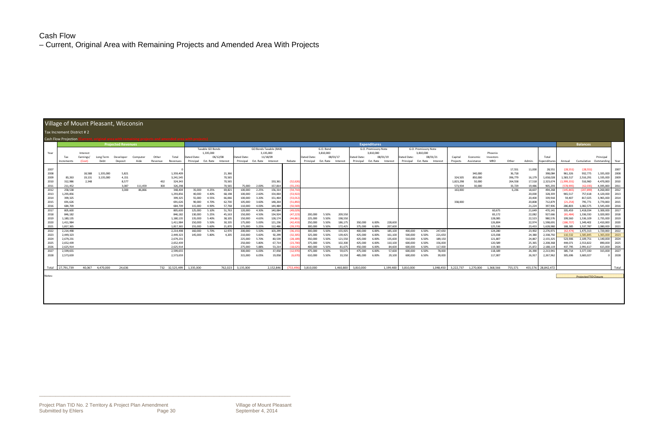### Cash Flow

– Current, Original Area with Remaining Projects and Amended Area With Projects

| Village of Mount Pleasant, Wisconsin |                                                  |           |                  |                |          |            |                        |             |                    |                  |                    |                    |                        |                       |                    |                |                  |                    |                      |                  |                    |                      |                    |                      |                               |                    |                   |                  |                        |                          |                              |                        |              |
|--------------------------------------|--------------------------------------------------|-----------|------------------|----------------|----------|------------|------------------------|-------------|--------------------|------------------|--------------------|--------------------|------------------------|-----------------------|--------------------|----------------|------------------|--------------------|----------------------|------------------|--------------------|----------------------|--------------------|----------------------|-------------------------------|--------------------|-------------------|------------------|------------------------|--------------------------|------------------------------|------------------------|--------------|
| Tax Increment District #2            |                                                  |           |                  |                |          |            |                        |             |                    |                  |                    |                    |                        |                       |                    |                |                  |                    |                      |                  |                    |                      |                    |                      |                               |                    |                   |                  |                        |                          |                              |                        |              |
| Cash Flow Projection                 |                                                  |           |                  |                |          |            |                        |             |                    |                  |                    |                    |                        |                       |                    |                |                  |                    |                      |                  |                    |                      |                    |                      |                               |                    |                   |                  |                        |                          |                              |                        |              |
|                                      | <b>Expenditures</b><br><b>Projected Revenues</b> |           |                  |                |          |            |                        |             |                    |                  |                    | <b>Balances</b>    |                        |                       |                    |                |                  |                    |                      |                  |                    |                      |                    |                      |                               |                    |                   |                  |                        |                          |                              |                        |              |
|                                      |                                                  |           |                  |                |          |            |                        |             | Taxable GO Bonds   |                  |                    |                    | GO Bonds Taxable (BAB) |                       |                    | G.O. Bond      |                  |                    | G.O. Promissory Note |                  |                    | G.O. Promissory Note |                    |                      |                               |                    |                   |                  |                        |                          |                              |                        |              |
| Year                                 |                                                  | Interest  |                  |                |          |            |                        |             | 1,335,000          |                  |                    | 3,135,000          |                        |                       |                    | 3,810,000      |                  |                    | 3,810,000            |                  |                    | 3,810,000            |                    |                      |                               | Phoenix            |                   |                  |                        |                          |                              |                        |              |
|                                      | Tax                                              | Earnings/ | Long Term        | Developer      | Computer | Other      | Total                  | Dated Date: |                    | 06/12/08         | Dated Date         |                    | 11/18/09               |                       | Dated Date:        |                | 08/01/17         | Dated Date:        | 08/01/19             |                  | Dated Date:        | 08/01/21             |                    | Capital              | Economic                      | Investors          |                   |                  | Total                  |                          |                              | Principal              |              |
|                                      | Increments                                       | (Cost)    | Debt             | Deposit        | Aide     | Revenue    | Revenues               | Principal   | Est. Rate Interest |                  | Principal          | Est. Rate Interest |                        | Rebate                | Principal          | Est. Rate      | Interest         | Principal          | Est. Rate            | Interest         | Principal          | Est. Rate            | Interest           | Projects             | Assistance                    | <b>MRO</b>         | Other             | Admin.           | Expenditures           | Annual                   | Cumulative Outstanding       |                        | Year         |
|                                      |                                                  |           |                  |                |          |            |                        |             |                    |                  |                    |                    |                        |                       |                    |                |                  |                    |                      |                  |                    |                      |                    |                      |                               |                    |                   |                  |                        |                          |                              |                        |              |
| 2007                                 |                                                  |           |                  |                |          |            |                        |             |                    |                  |                    |                    |                        |                       |                    |                |                  |                    |                      |                  |                    |                      |                    |                      |                               |                    | 17,551            | 11,000           | 28,551                 | (28, 551)                | (28, 551)                    |                        | 2007         |
| 2008                                 |                                                  | 18,588    | 1,335,000        | 5,821          |          |            | 1,359,409              |             |                    | 21,366           |                    |                    |                        |                       |                    |                |                  |                    |                      |                  |                    |                      |                    |                      | 340,000                       |                    | 36,718            |                  | 398,084                | 961,326                  | 932,775                      | 1,335,000              | 2008         |
| 2009                                 | 83,263                                           | 19,131    | 3,135,000        | 4,151          |          |            | 3,241,545              |             |                    | 70,565<br>70,565 |                    |                    | 150,361                |                       |                    |                |                  |                    |                      |                  |                    |                      |                    | 324.505<br>1,823,298 | 850,000                       |                    | 396,779           | 16,179           | 1,658,028              | 1,583,517                | 2,516,291<br>516,960         | 1,335,000              | 2009         |
| 2010<br>2011                         | 312,986<br>211,452                               | 2,348     |                  | 8,577<br>3,087 | 111,459  | 432<br>300 | 324,343<br>326,298     |             |                    | 70.565           | 75,000             | 2.00%              | 157,814                | (52, 626)<br>(55.235) |                    |                |                  |                    |                      |                  |                    |                      |                    | 573,934              | 50,000<br>30.000              |                    | 264,558<br>33,729 | 17,518<br>19,486 | 2,323,674<br>905,293   | (1,999,331)<br>(578.995) | (62.035)                     | 4,470,000<br>4,395,000 | 2010<br>2011 |
| 2012                                 | 258,538                                          |           |                  | 3.000          | 86.866   |            | 348,404                | 35,000      | 4.25%              | 69,821           | 100.000            | 2.25%              | 156,314                | (54, 710)             |                    |                |                  |                    |                      |                  |                    |                      |                    | 163,000              |                               |                    | 6,236             | 18,607           | 494,268                | (145, 865)               | (207, 899)                   | 4,260,000              | 2012         |
| 2013                                 | 1,293,856                                        |           |                  |                |          |            | 1,293,856              | 40,000      | 4.40%              | 68,198           | 100,000            | 2.60%              | 154,064                | (53, 922)             |                    |                |                  |                    |                      |                  |                    |                      |                    |                      |                               |                    |                   | 20,000           | 328,339                | 965,517                  | 757,618                      | 4,120,000              | 2013         |
| 2014                                 | 399,325                                          |           |                  |                |          |            | 399,325                | 55,000      | 4.55%              | 66,066           | 100,000            | 3.20%              | 151,464                | (53, 012)             |                    |                |                  |                    |                      |                  |                    |                      |                    |                      |                               |                    |                   | 20,400           | 339,918                | 59,407                   | 817,025                      | 3,965,000              | 2014         |
| 2015                                 | 691,626                                          |           |                  |                |          |            | 691,626                | 90,000      | 4.70%              | 62,700           | 105,000            | 3.60%              | 148,264                | (51, 892)             |                    |                |                  |                    |                      |                  |                    |                      |                    | 338,000              |                               |                    |                   | 20,808           | 712,879                | (21, 254)                | 795,771                      | 3,770,000              | 2015         |
| 2016                                 | 684.709                                          |           |                  |                |          |            | 684.709                | 115,000     | 4.90%              | 57,768           | 110,000            | 4.00%              | 144,484                | (50, 569)             |                    |                |                  |                    |                      |                  |                    |                      |                    |                      |                               |                    |                   | 21,224           | 397,906                | 286,803                  | 1,082,575                    | 3,545,000              | 2016         |
| 2017                                 | 805,600                                          |           |                  |                |          |            | 805,600                | 125,000     | 5.10%              | 51,763           | 120,000            | 4.30%              | 140,084                | (49, 029)             |                    |                |                  |                    |                      |                  |                    |                      |                    |                      |                               | 60,675             |                   | 21,649           | 470,141                | 335,459                  | 1,418,034                    | 3,300,000              | 2017         |
| 2018                                 | 846,182                                          |           |                  |                |          |            | 846,182                | 130,000     | 5.25%              | 45,163           | 150,000            | 4.50%              | 134,924                | (47, 223)             | 200,000            | 5.50%          | 209,550          |                    |                      |                  |                    |                      |                    |                      |                               | 83,172             |                   | 22,082           | 927,666                | (81, 484)                | 1,336,550                    | 3,020,000              | 2018         |
| 2019                                 | 1,180,135                                        |           |                  |                |          |            | 1,180,135              | 135,000     | 5.40%              | 38,105           | 150,000            | 4.63%              | 128,174                | (44, 861)             | 225,000            | 5.50%          | 198,550          |                    |                      |                  |                    |                      |                    |                      |                               | 128,085            |                   | 22,523           | 980,576                | 199,560                  | 1,536,109                    | 2,735,000              | 2019         |
| 2020                                 | 1,411,984                                        |           |                  |                |          |            | 1,411,984              | 150,000     | 5.50%              | 30,335           | 175,000            | 5.00%              | 121,236                | (42, 433)             | 250,000            | 5.50%          | 186,175          | 350,000            | 6.00%                | 228,600          |                    |                      |                    |                      |                               | 126,804            |                   | 22,974           | 1,598,691              | (186, 707)               | 1,349,402                    | 2,410,000              | 2020         |
| 2021                                 | 1.817.365                                        |           |                  |                |          |            | 1.817.365              | 155.000     | 5.60%              | 21.870           | 175.000            | 5.25%              | 112.486                | (39.370)              | 300.000            | 5.50%          | 172,425          | 375.000            | 6.00%                | 207,600          |                    |                      |                    |                      |                               | 125.536            |                   | 23.433           | 1.628.980              | 188.385                  | 1,537,787                    | 2.080.000              | 2021         |
| 2022                                 | 2,214,498                                        |           |                  |                |          |            | 2,214,498              | 160,000     | 5.70%              | 12,970           | 200,000            | 5.50%              | 103,299                | (36, 155)             | 300,000            | 5.50%          | 155,925          | 400,000            | 6.00%                | 185,100          | 400,000            | 6.50%                | 247,650            |                      |                               | 124,280            |                   | 23,902           | 2,276,971              | (62, 474)                | 1,475,313                    | 1,720,000              | 2022         |
| 2023                                 | 2,449,323                                        |           |                  |                |          |            | 2,449,323              | 145,000     | 5.80%              | 4,205            | 210,000            | 5.60%              | 92,299                 | (32, 305)             | 325,000            | 5.50%          | 139,425          | 425,000            | 6.00%                | 161,100          | 500,000            | 6.50%                | 221,650            |                      |                               | 123,038            |                   | 24,380           | 2,338,792              | 110,532                  | 1,585,845                    | 1,365,000              | 2023         |
| 2024                                 | 2,679,231                                        |           |                  |                |          |            | 2,679,231              |             |                    |                  | 225,000            | 5.70%              | 80,539                 | (28, 189)             | 350,000            | 5.50%          | 121,550          | 425,000            | 6.00%                | 135,600          | 510,000            | 6.50%                | 189,150            |                      |                               | 121,807            |                   | 24,867           | 2,155,325              | 523,906                  | 2,109,751                    | 1,140,000              | 2024         |
| 2025<br>2026                         | 2,652,439                                        |           |                  |                |          |            | 2,652,439              |             |                    |                  | 250,000            | 5.80%              | 67,714                 | (23,700)              | 375,000            | 5.50%          | 102,300          | 425,000            | 6.00%                | 110,100          | 600,000            | 6.50%                | 156,000<br>117.000 |                      |                               | 120,589            |                   | 25,365           | 2,208,368              | 444,071                  | 2,553,822                    | 890,000                | 2025         |
| 2027                                 | 2.625.914<br>2,599,655                           |           |                  |                |          |            | 2.625.914<br>2,599,655 |             |                    |                  | 275.000            | 5.88%              | 53.214                 | (18.625)              | 400.000            | 5.50%          | 81.675           | 450.000            | 6.00%                | 84.600           | 600.000            | 6.50%<br>6.50%       | 78,000             |                      |                               | 119.383<br>118,189 |                   | 25.872           | 2.188.119              | 437.795<br>385,714       | 2.991.617                    | 615,000<br>315,000     | 2026<br>2027 |
| 2028                                 | 2,573,659                                        |           |                  |                |          |            | 2,573,659              |             |                    |                  | 300,000<br>315,000 | 6.00%<br>6.05%     | 37,058<br>19,058       | (12, 970)<br>(6, 670) | 475,000<br>610,000 | 5.50%<br>5.50% | 59,675<br>33,550 | 475,000<br>485.000 | 6.00%<br>6.00%       | 57,600<br>29,100 | 600,000<br>600,000 | 6.50%                | 39,000             |                      |                               | 117,007            |                   | 26,390<br>26,917 | 2,213,941<br>2,267,962 | 305,696                  | 3,377,330<br>3,683,027       |                        | 2028         |
|                                      |                                                  |           |                  |                |          |            |                        |             |                    |                  |                    |                    |                        |                       |                    |                |                  |                    |                      |                  |                    |                      |                    |                      |                               |                    |                   |                  |                        |                          |                              |                        |              |
|                                      |                                                  |           |                  |                |          |            |                        |             |                    |                  |                    |                    |                        |                       |                    |                |                  |                    |                      |                  |                    |                      |                    |                      |                               |                    |                   |                  |                        |                          |                              |                        |              |
|                                      | Total 27.791.739                                 |           | 40.067 4.470.000 | 24.636         |          |            | 732 32.525.499         | 1.335.000   |                    | 762.023          | 3.135.000          |                    | 2.152.846              | (753.496              | 3.810.000          |                | 1.460.800        | 3.810.000          |                      | 1.199.400        | 3.810.000          |                      | 1.048.450          |                      | 3,222,737 1,270,000 1,368,566 |                    | 755.571           |                  | 455.576 28.842.472     |                          |                              |                        | Total        |
| Notes:                               |                                                  |           |                  |                |          |            |                        |             |                    |                  |                    |                    |                        |                       |                    |                |                  |                    |                      |                  |                    |                      |                    |                      |                               |                    |                   |                  |                        |                          | <b>Projected TID Closure</b> |                        |              |
|                                      |                                                  |           |                  |                |          |            |                        |             |                    |                  |                    |                    |                        |                       |                    |                |                  |                    |                      |                  |                    |                      |                    |                      |                               |                    |                   |                  |                        |                          |                              |                        |              |
|                                      |                                                  |           |                  |                |          |            |                        |             |                    |                  |                    |                    |                        |                       |                    |                |                  |                    |                      |                  |                    |                      |                    |                      |                               |                    |                   |                  |                        |                          |                              |                        |              |
|                                      |                                                  |           |                  |                |          |            |                        |             |                    |                  |                    |                    |                        |                       |                    |                |                  |                    |                      |                  |                    |                      |                    |                      |                               |                    |                   |                  |                        |                          |                              |                        |              |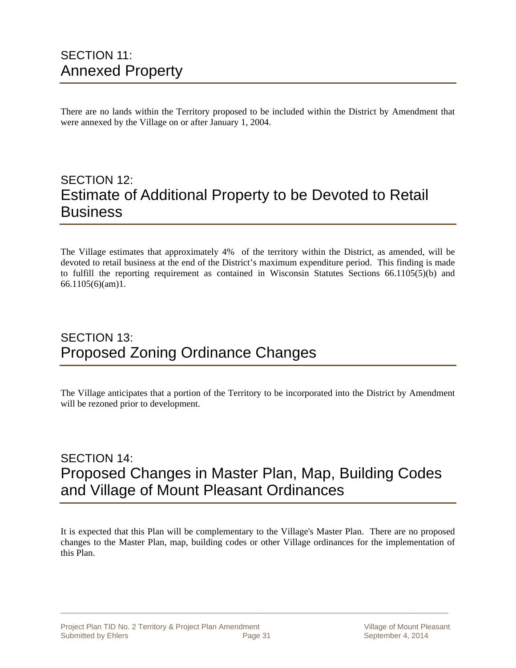There are no lands within the Territory proposed to be included within the District by Amendment that were annexed by the Village on or after January 1, 2004.

### SECTION 12: Estimate of Additional Property to be Devoted to Retail Business

The Village estimates that approximately 4% of the territory within the District, as amended, will be devoted to retail business at the end of the District's maximum expenditure period. This finding is made to fulfill the reporting requirement as contained in Wisconsin Statutes Sections 66.1105(5)(b) and 66.1105(6)(am)1.

### SECTION 13: Proposed Zoning Ordinance Changes

The Village anticipates that a portion of the Territory to be incorporated into the District by Amendment will be rezoned prior to development.

### SECTION 14: Proposed Changes in Master Plan, Map, Building Codes and Village of Mount Pleasant Ordinances

It is expected that this Plan will be complementary to the Village's Master Plan. There are no proposed changes to the Master Plan, map, building codes or other Village ordinances for the implementation of this Plan.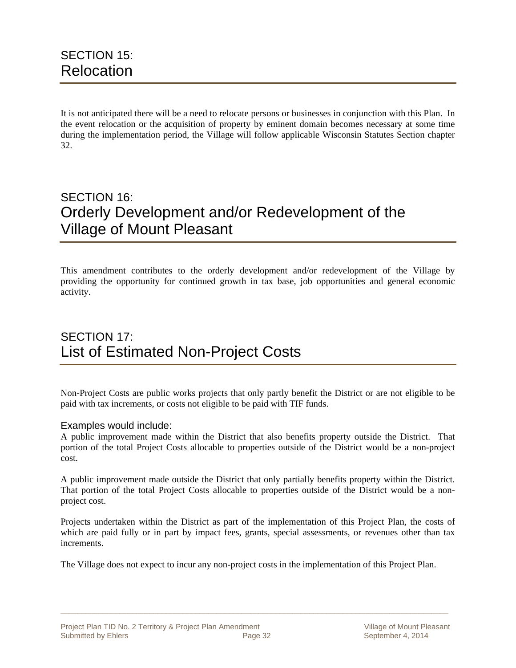It is not anticipated there will be a need to relocate persons or businesses in conjunction with this Plan. In the event relocation or the acquisition of property by eminent domain becomes necessary at some time during the implementation period, the Village will follow applicable Wisconsin Statutes Section chapter 32.

### SECTION 16: Orderly Development and/or Redevelopment of the Village of Mount Pleasant

This amendment contributes to the orderly development and/or redevelopment of the Village by providing the opportunity for continued growth in tax base, job opportunities and general economic activity.

### SECTION 17: List of Estimated Non-Project Costs

Non-Project Costs are public works projects that only partly benefit the District or are not eligible to be paid with tax increments, or costs not eligible to be paid with TIF funds.

#### Examples would include:

A public improvement made within the District that also benefits property outside the District. That portion of the total Project Costs allocable to properties outside of the District would be a non-project cost.

A public improvement made outside the District that only partially benefits property within the District. That portion of the total Project Costs allocable to properties outside of the District would be a nonproject cost.

Projects undertaken within the District as part of the implementation of this Project Plan, the costs of which are paid fully or in part by impact fees, grants, special assessments, or revenues other than tax increments.

The Village does not expect to incur any non-project costs in the implementation of this Project Plan.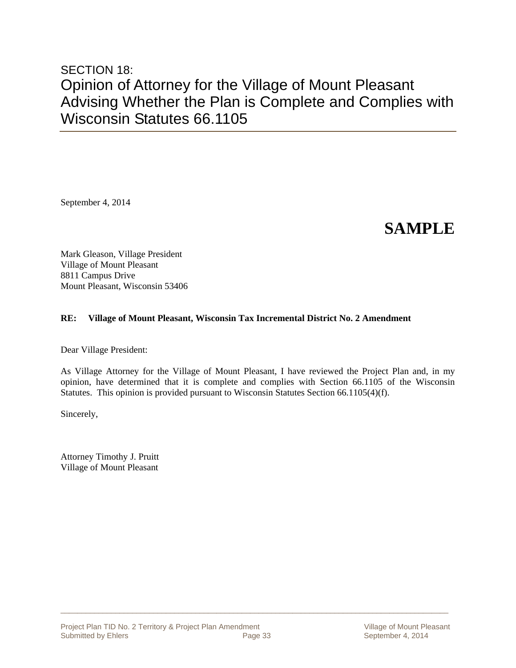### SECTION 18: Opinion of Attorney for the Village of Mount Pleasant Advising Whether the Plan is Complete and Complies with Wisconsin Statutes 66.1105

September 4, 2014

## **SAMPLE**

Mark Gleason, Village President Village of Mount Pleasant 8811 Campus Drive Mount Pleasant, Wisconsin 53406

#### **RE: Village of Mount Pleasant, Wisconsin Tax Incremental District No. 2 Amendment**

Dear Village President:

As Village Attorney for the Village of Mount Pleasant, I have reviewed the Project Plan and, in my opinion, have determined that it is complete and complies with Section 66.1105 of the Wisconsin Statutes. This opinion is provided pursuant to Wisconsin Statutes Section 66.1105(4)(f).

 $\Box$  . The contribution of the contribution of the contribution of the contribution of the contribution of the contribution of the contribution of the contribution of the contribution of the contribution of the contributi

Sincerely,

Attorney Timothy J. Pruitt Village of Mount Pleasant